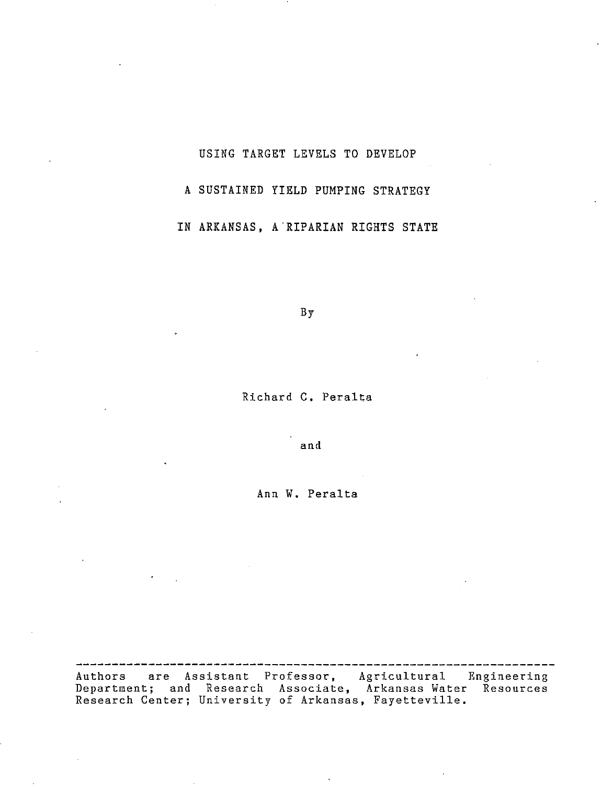# USING TARGET LEVELS TO DEVELOP A SUSTAINED YIELD PUMPING STRATEGY IN ARKANSAS, A "RIPARIAN RIGHTS STATE

By

Richard C. Peralta

and

Ann **W.** Peralta

Authors are Assistant Professor, Agricultural Engineering Department; and Research Associate, Arkansas Water Resources Research Center; University of Arkansas, Fayetteville.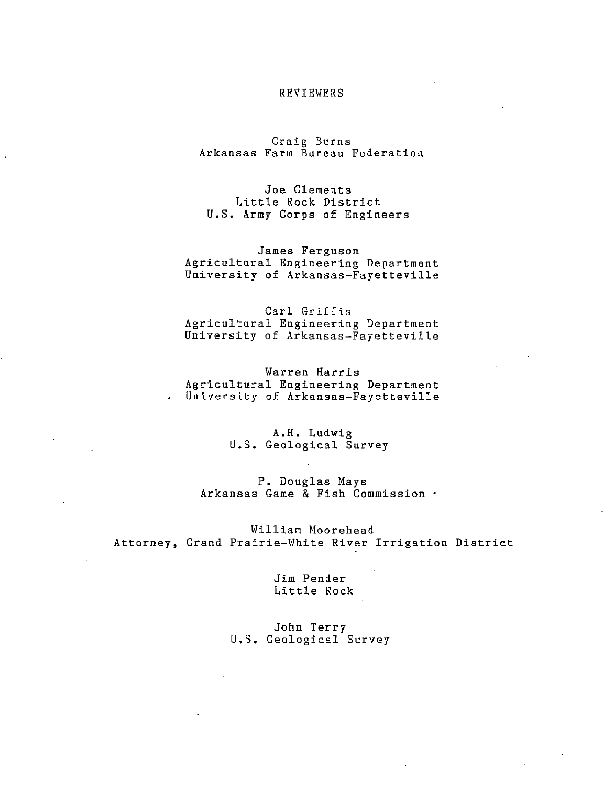#### REVIEWERS

Craig Burns Arkansas Farm Bureau Federation

Joe Clements Little Rock District U.S. Army Corps of Engineers

James Ferguson Agricultural Engineering Department University of Arkansas-Fayetteville

Carl Griffis Agricultural Engineering Department University of Arkansas-Fayetteville

Warren Harris Agricultural Engineering Department University of Arkansas-Fayetteville  $\mathbf{r}$ 

> A.H. Ludwig U.S. Geological Survey

P. Douglas Mays Arkansas Game & Fish Commission

William Moorehead Attorney, Grand Prairie-White River Irrigation District

> Jim Pender Little Rock

John Terry U.S. Geological Survey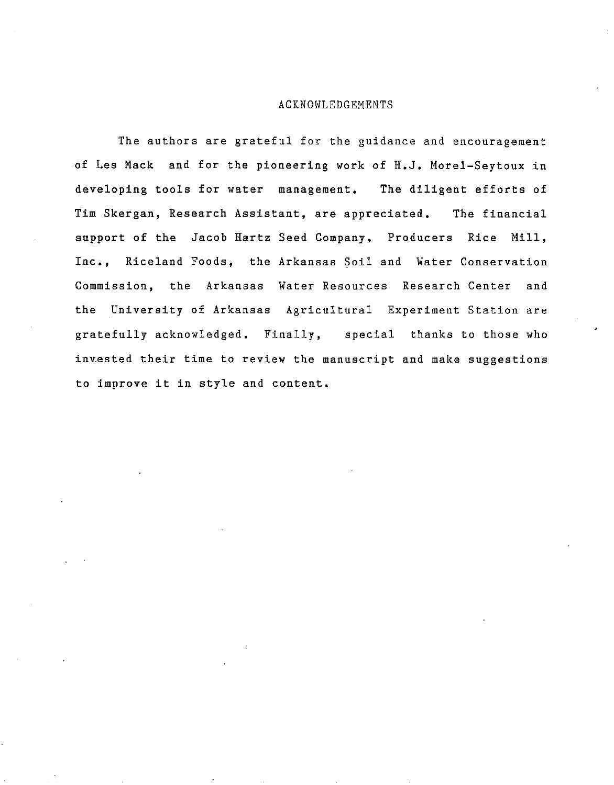#### ACKNOWLEDGEMENTS

The authors are grateful for the guidance and encouragement of Les Mack and for the pioneering work of **H.J.** Morel-Seytoux in developing tools for water management. The diligent efforts of Tim Skergan, Research Assistant, are appreciated. The financial support of the Jacob Hartz Seed Company, Producers Rice Mill, **Inc.,** Riceland Foods, the Arkansas Soil and Water Conservation Commission, the Arkansas Water Resources Research Center and the University of Arkansas Agricultural Experiment Station are gratefully acknowledged. Finally, special thanks to those who invested their time to review the manuscript and make suggestions to improve it in style and content.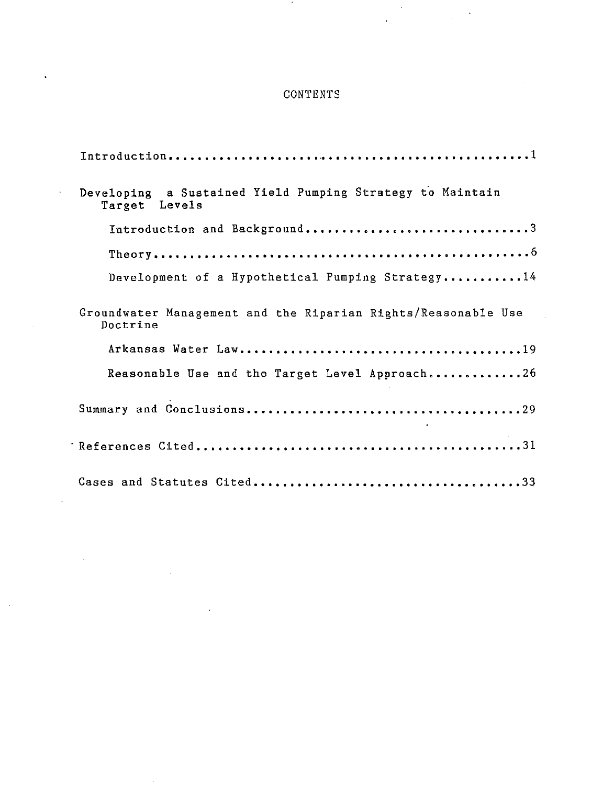## **CONTENTS**

 $\sim$   $\sim$ 

| Developing a Sustained Yield Pumping Strategy to Maintain<br>Target Levels |
|----------------------------------------------------------------------------|
| Introduction and Background3                                               |
|                                                                            |
| Development of a Hypothetical Pumping Strategy14                           |
| Groundwater Management and the Riparian Rights/Reasonable Use<br>Doctrine  |
|                                                                            |
| Reasonable Use and the Target Level Approach26                             |
|                                                                            |
|                                                                            |
|                                                                            |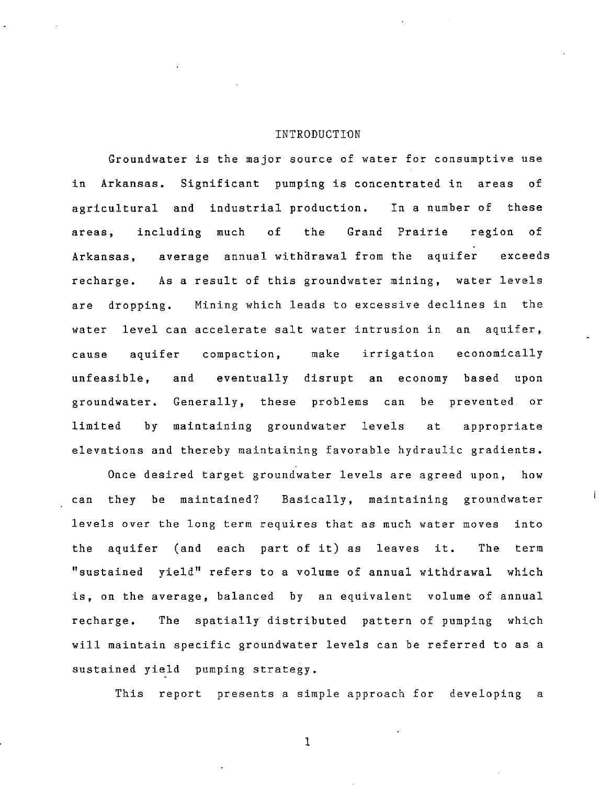#### INTRODUCTION

Groundwater is the major source of water for consumptive use in Arkansas. Significant pumping is concentrated in areas of agricultural and industrial production. In a number of these areas, including much of the Grand Prairie region of Arkansas, average annual withdrawal from the aquifer exceeds recharge. As a result of this groundwater mining, water levels are dropping. Mining which leads to excessive declines in the water level can accelerate salt water intrusion in an aquifer, cause aquifer compaction, make irrigation economically unfeasible, and eventually disrupt an economy based upon groundwater. Generally, these problems can be prevented or limited by maintaining groundwater levels at appropriate elevations and thereby maintaining favorable hydraulic gradients.

Once desired target groundwater levels are agreed upon, how can they be maintained? Basically, maintaining groundwater levels over the long term requires that as much water moves into the aquifer (and each part of it) as leaves it. The term "sustained yield" refers to a volume of annual withdrawal which is, on the average, balanced by an equivalent volume of annual recharge. The spatially distributed pattern of pumping which will maintain specific groundwater levels can be referred to as a sustained yield pumping strategy.

This report presents a simple approach for developing a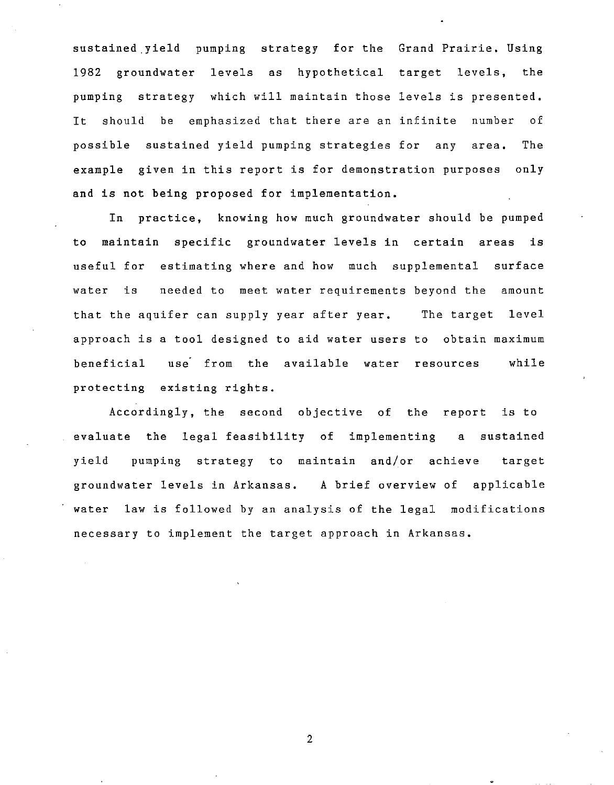sustained yield pumping strategy for the Grand Prairie. Using 1982 groundwater levels as hypothetical target levels, the pumping strategy which will maintain those levels is presented. It should be emphasized that there are an infinite number of possible sustained yield pumping strategies for any area. The example given in this report is for demonstration purposes only and is not being proposed for implementation.

In practice, knowing how much groundwater should be pumped to maintain specific groundwater levels in certain areas is useful for estimating where and how much supplemental surface water is needed to meet water requirements beyond the amount that the aquifer can supply year after year. The target level approach is a tool designed to aid water users to obtain maximum beneficial use from the available water resources while protecting existing rights.

Accordingly, the second objective of the report is to evaluate the legal feasibility of implementing a sustained yield pumping strategy to maintain and/or achieve target groundwater levels in Arkansas. A brief overview of applicable water law is followed by an analysis of the legal modifications necessary to implement the target approach in Arkansas.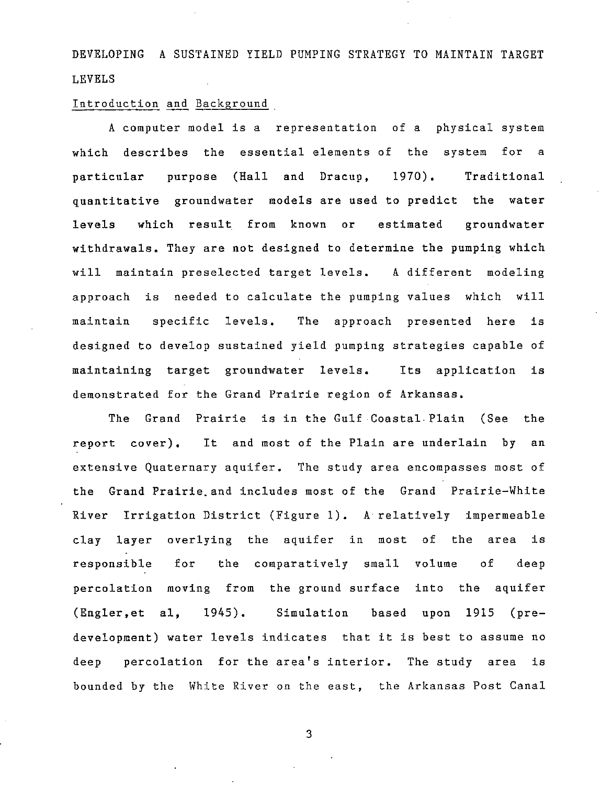DEVELOPING A SUSTAINED YIELD PUMPING STRATEGY TO MAINTAIN TARGET LEVELS

#### Introduction and Background

A computer model is a representation of a physical system which describes the essential elements of the system for a particular purpose (Hall and Dracup, 1970). Traditional quantitative groundwater models are used to predict the water levels which result from known or estimated groundwater withdrawals. They are not designed to determine the pumping which will maintain preselected target levels. A different modeling approach is needed to calculate the pumping values which will maintain specific levels. The approach presented here is designed to develop sustained yield pumping strategies capable of maintaining target groundwater levels. Its application is demonstrated for the Grand Prairie region of Arkansas.

The Grand Prairie is in the Gulf Coastal. Plain (See the report cover). It and most of the Plain are underlain by an extensive Quaternary aquifer. The study area encompasses most of the Grand Prairie. and includes most of the Grand Prairie-White River Irrigation District (Figure 1). A relatively impermeable clay layer overlying the aquifer in most of the area is responsible for the comparatively small volume of deep percolation moving from the ground surface into the aquifer (Engler,et aI, 1945). Simulation based upon 1915 (predevelopment) water levels indicates that it is best to assume no deep percolation for the area's interior. The study area is bounded by the White River on the east, the Arkansas Post Canal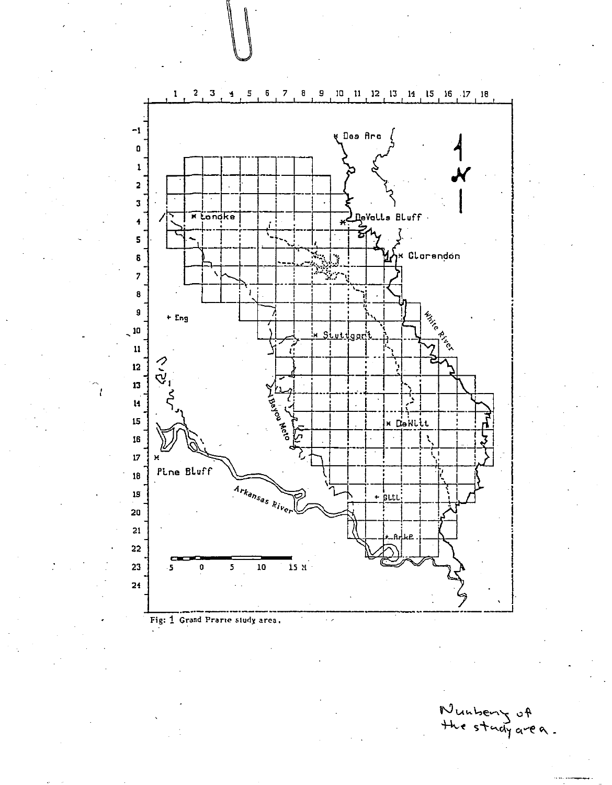

Wunberry of<br>the stady area.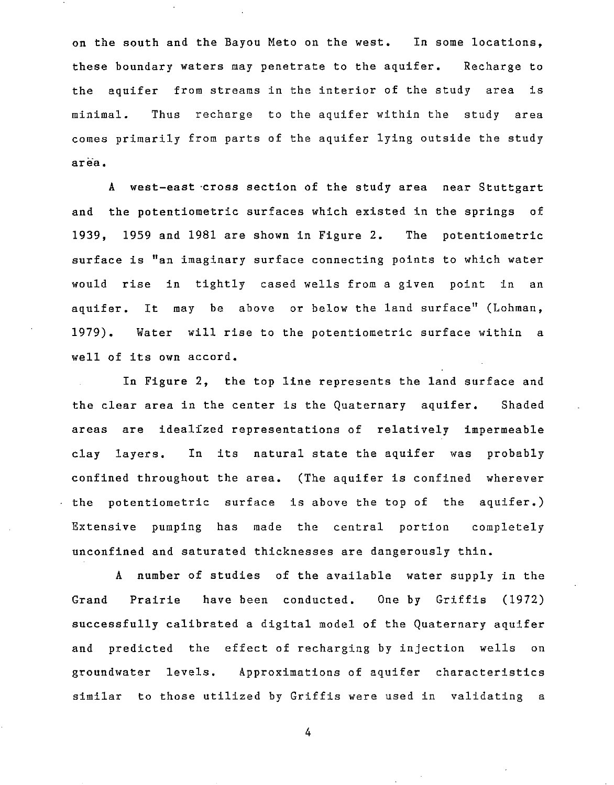on the south and the Bayou Meto on the west. In some locations, these boundary waters may penetrate to the aquifer. Recharge to the aquifer from streams in the interior of the study area is minimal. Thus recharge to the aquifer within the study area comes primarily from parts of the aquifer lying outside the study **area.** 

A west-east ·cross section of the study area near Stuttgart and the potentiometric surfaces which existed in the springs of 1939, 1959 and 1981 are shown in Figure 2. The potentiometric surface is "an imaginary surface connecting points to which water would rise in tightly cased wells from a given point in an aquifer. It may be above or below the land surface" (Lohman, 1979). Water will rise to the potentiometric surface within a well of its own accord.

In Figure 2, the top line represents the land surface and the clear area in the center is the Quaternary aquifer. Shaded areas are idealized representations of relatively impermeable clay layers. In its natural state the aquifer was probably confined throughout the area. (The aquifer is confined wherever  $\cdot$  the potentiometric surface is above the top of the aquifer.) Extensive pumping has made the central portion completely unconfined and saturated thicknesses are dangerously thin.

A number of studies of the available water supply in the Grand Prairie have been conducted. One by Griffis (1972) successfully calibrated a digital model of the Quaternary aquifer and predicted the effect of recharging by injection wells on groundwater levels. Approximations of aquifer characteristics similar to those utilized by Griffis were used in validating a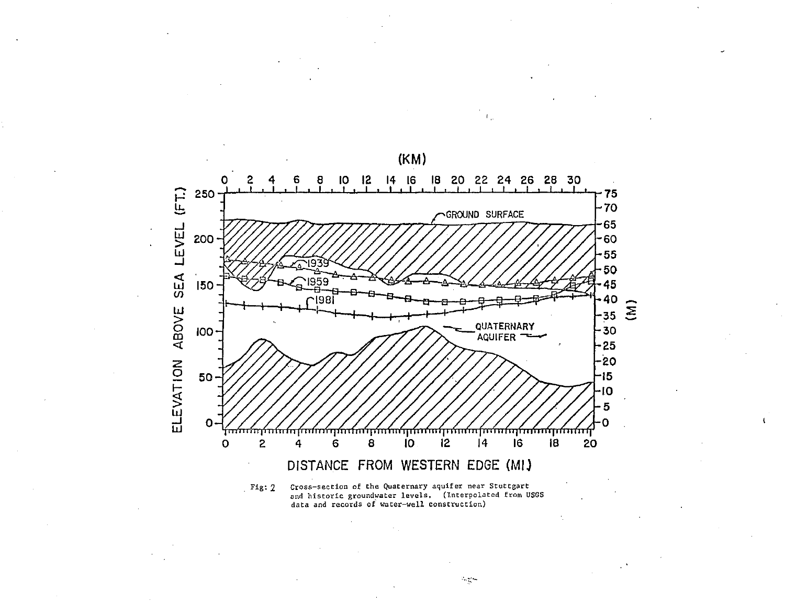

(KM)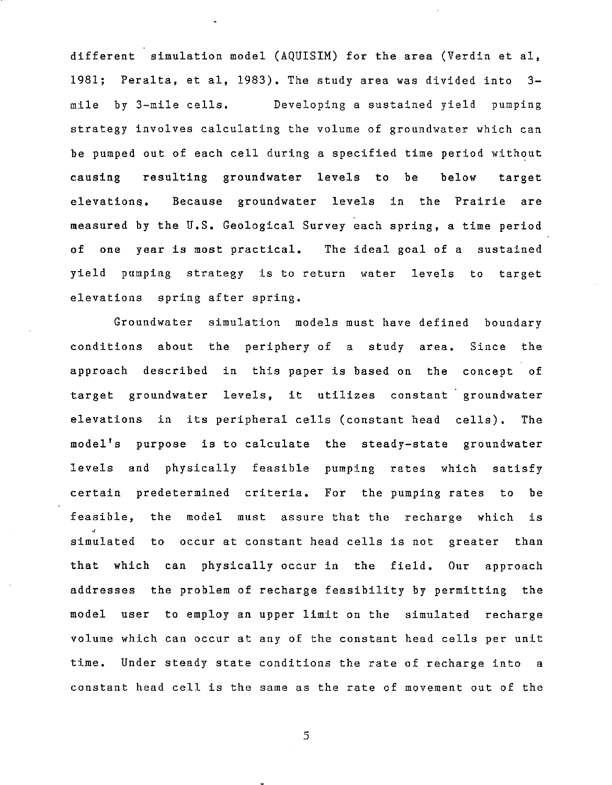different simulation model (AQUISIM) for the area (Verdin et aI, 1981; Peralta, et aI, 1983). The study area was divided into 3 mile by 3-mile cells. Developing a sustained yield pumping strategy involves calculating the volume of groundwater which can be pumped out of each cell during a specified time period without causing resulting groundwater levels to be below target elevations. Because groundwater levels in the Prairie are measured by the U.S. Geological Survey each spring, a time period of one year is most practical. The ideal goal of a sustained yield pumping strategy is to return water levels to target elevations spring after spring.

Groundwater simulation models must have defined boundary conditions about the periphery of a study area. Since the approach described in this paper is based on the concept of target groundwater levels, it utilizes constant groundwater elevations in its peripheral cells (constant head cells). The model's purpose is to calculate the steady-state groundwater levels and physically feasible pumping rates which satisfy certain predetermined criteria. For the pumping rates to be feasible, the model must assure that the recharge which is • simulated to occur at constant head cells is not greater than that which can physically occur in the field. Our approach addresses the problem of recharge feasibility by permitting the model user to employ an upper limit on the simulated recharge volume which can occur at any of the constant head cells per unit time. Under steady state conditions the rate of recharge into a constant head cell is the same as the rate of movement out of the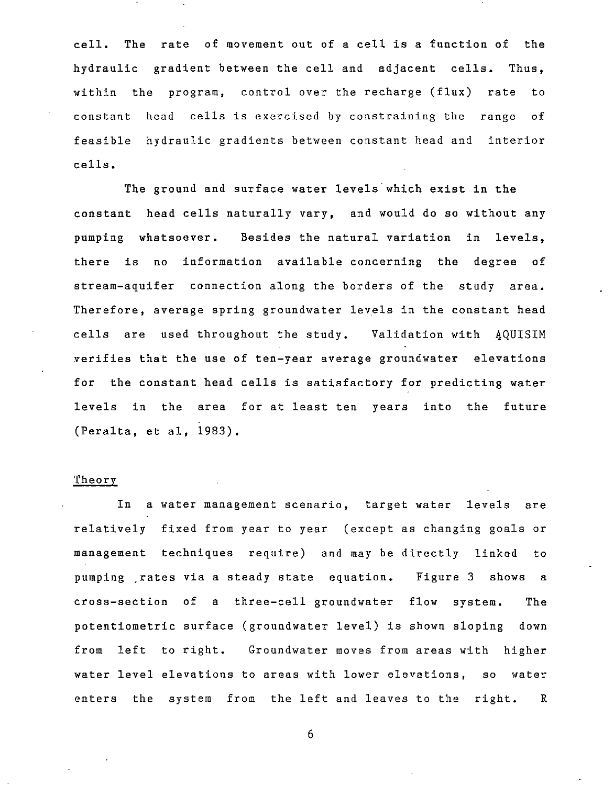$c<sub>e11</sub>$ . hydraulic gradient between the cell and adjacent cells. Thus, within the program, control over the recharge (flux) rate to The rate of movement out of a cell is a function of the constant head cells is exercised by constraining the range of feasible hydraulic gradients between constant head and interior cells.

The ground and surface water levels which exist in the constant head cells naturally vary. and would do so without any pumping whatsoever. Besides the natural variation in levels, there is no information available concerning the degree of stream-aquifer connection along the borders of the study area. Therefore, average spring groundwater levels in the constant head cells are used throughout the study. Validation with 4QUISIM verifies that the use of ten-year average groundwater elevations for the constant head cells is satisfactory for predicting water levels in the area for at least ten years into the future (Peralta, et aI, 1983).

#### Theory

In a water management scenario, target water levels are relatively fixed from year to year (except as changing goals or management techniques require) and may be directly linked to pumping .rates via a steady state equation. Figure 3 shows a cross-section of a three-cell groundwater flow system. The potentiometric surface (groundwater level) is shown sloping down from left to right. Groundwater moves from areas with higher water level elevations to areas with lower elevations, so water enters the system from the left and leaves to the right. R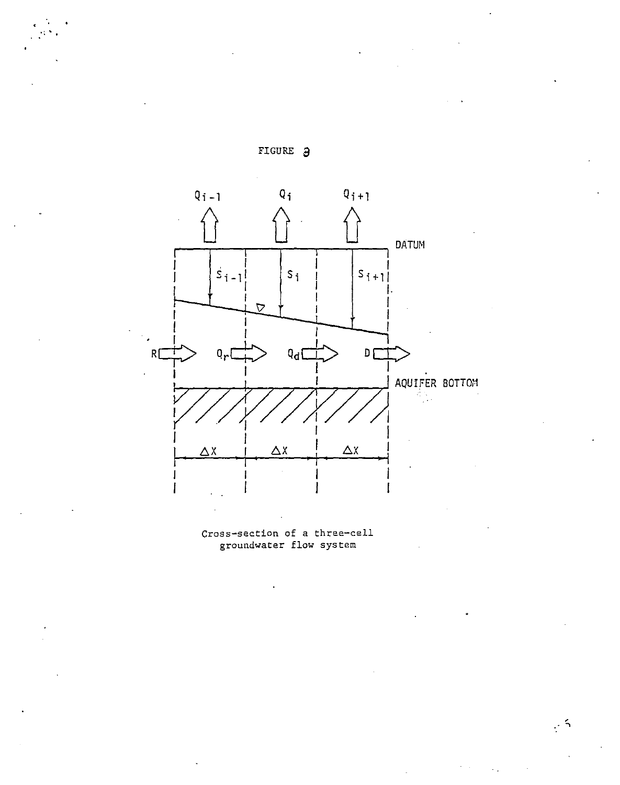



**·: ..** 

Cross-section of a three-cell groundwater flow system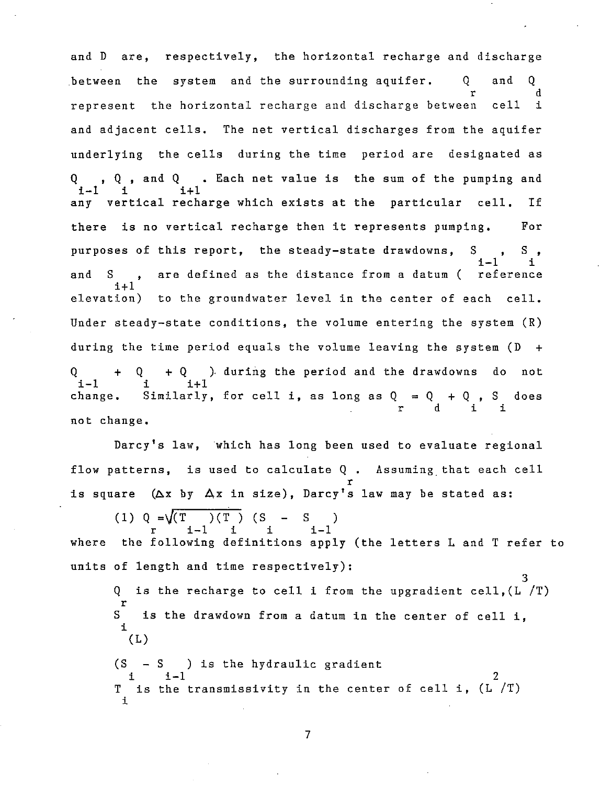and D are, respectively, the horizontal recharge and discharge between the system and the surrounding aquifer.  $Q$  and  $Q$ r d represent the horizontal recharge and discharge between cell i and adjacent cells. The net vertical discharges from the aquifer underlying the cells during the time period are designated as Q , Q, and Q . Each net value is the sum of the pumping and  $i-1$  i  $i+1$ any vertical recharge which exists at the particular cell. If there is no vertical recharge then it represents pumping. For purposes of this report, the steady-state drawdowns, S and S , are defined as the distance from a datum (  $i-1$  i reference  $1+1$ elevation) to the groundwater level in the center of each cell. Under steady-state conditions, the volume entering the system (R) during the time period equals the volume leaving the system (D +  $Q + Q + Q$  ) during the period and the drawdowns do not i-1 i i+1  $i-1$  i  $i+1$ 1-1 1 1+1<br>change. Similarly, for cell i, as long as Q = Q + Q , S does r d i i not change.

Darcy's law, which has long been used to evaluate regional flow patterns, is used to calculate Q. Assuming that each cell r is square (Ax by Ax in size), Darcy's law may be stated as:

(1) 
$$
Q = \sqrt{T \choose 1-1} (S - S)
$$
  
\n $r = 1-1$  i i i -1

where the following definitions apply (the letters L and T refer to units of length and time respectively):

3 Q is the recharge to cell i from the upgradient cell,(1 *IT)*  r S is the drawdown from a datum in the center of cell i, i  $(L)$ 

 $(S - S)$  is the hydraulic gradient  $i - 1$  $\frac{1}{T}$  is the transmissivity in the center of cell i,  $(L^{2}/T)$ i 2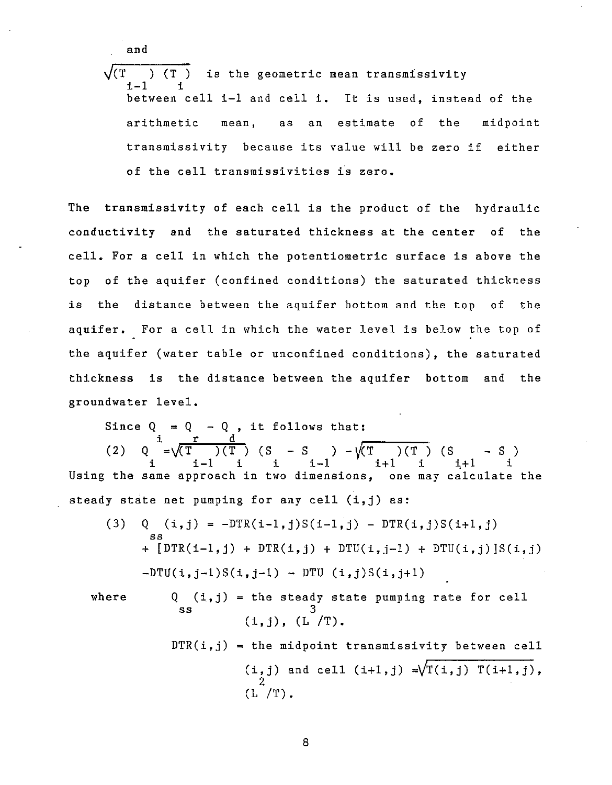and

 $\sqrt{(T)}$  ) (T) is the geometric mean transmissivity  $i-1$ between cell i-I and cell i. It is used, instead of the arithmetic **mean,** as an estimate of the midpoint transmissivity because its value will be zero if either of the cell transmissivities is zero.

The transmissivity of each cell is the product of the hydraulic conductivity and the saturated thickness at the center of the cell. For a cell in which the potentiometric surface is above the top of the aquifer (confined conditions) the saturated thickness is the distance between the aquifer bottom and the top of the aquifer. For a cell in which the water level is below the top of the aquifer (water table or unconfined conditions), the saturated thickness is the distance between the aquifer bottom and the groundwater level.

Since  $Q = Q - Q$ , it follows that: i r d (2) Q = $\sqrt{(T)}$   $(T)$  (S - S ) - $\sqrt{(T)}$  (S - S)  $i - i - 1$  i i-1  $i + 1$  i  $i + 1$  i  $i + 1$ Using the same approach in two dimensions, one may calculate the steady state net pumping for any cell (i,j) as:

(3) Q  $(i, j) = -DTR(i-1, j)S(i-1, j) - DTR(i, j)S(i+1, j)$ ss +  $[DTR(i-1,j) + DTR(i,j) + DTU(i,j-1) + DTU(i,j)]S(i,j)$  $-DTU(i,j-1)S(i,j-1) - DTU(i,j)S(i,j+1)$ 

where

$$
\begin{array}{ll}\n\text{Q} & (\text{i}, \text{j}) = \text{the steady state pumping rate for cell} \\
\text{ss} & 3 \\
 & (\text{i}, \text{j}), (\text{L /T}).\n\end{array}
$$

 $\text{DTR}(i,j)$  = the midpoint transmissivity between cell (i,j) and cell (i+1,j)  $=\sqrt{T(i,j) T(i+1,j)}$ , 2 (L *IT).*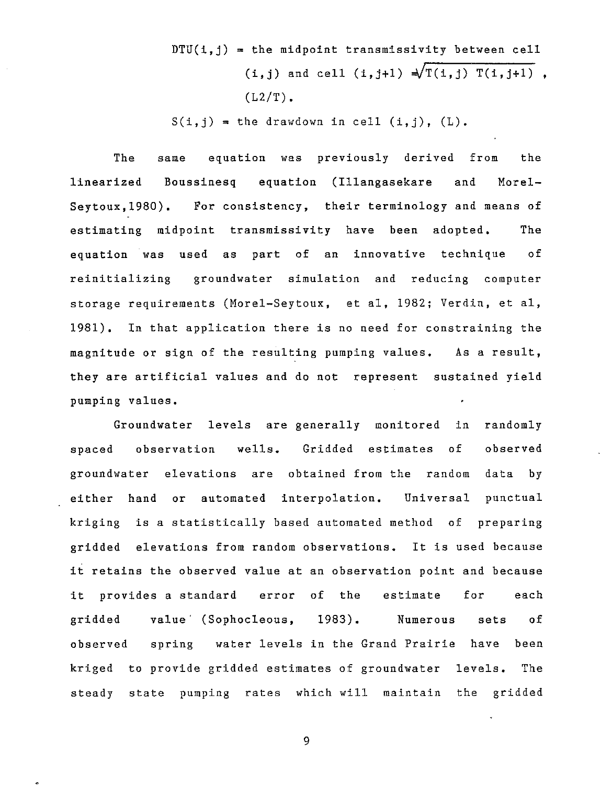$DTU(i, j)$  = the midpoint transmissivity between cell  $(i, j)$  and cell  $(i, j+1) \frac{1}{\sqrt{T(i, j) T(i, j+1)}}$ ,  $(L2/T)$ .

 $S(i, j)$  = the drawdown in cell  $(i, j)$ ,  $(L)$ .

The linearized Boussinesq equation (Illangasekare and Morelsame equation was previously derived from the Seytoux,1980). For consistency, their terminology and means of estimating midpoint transmissivity have been adopted. The equation was used as part of an innovative technique of reinitializing groundwater simulation and reducing computer storage requirements (Morel-Seytoux, et aI, 1982; Verdin, et aI, 1981). In that application there is no need for constraining the magnitude or sign of the resulting pumping values. As a result, they are artificial values and do not represent sustained yield pumping values.

Groundwater levels are generally monitored in randomly spaced observation wells. Gridded estimates of observed groundwater elevations are obtained from the random data by either hand or automated interpolation. Universal punctual kriging is a statistically based automated method of preparing gridded elevations from random observations. It is used because it retains the observed value at an observation point and because it provides a standard error of the estimate for each gridded value (Sophocleous, 1983). Numerous sets of observed spring water levels in the Grand Prairie have been kriged to provide gridded estimates of groundwater levels. The steady state pumping rates which will maintain the gridded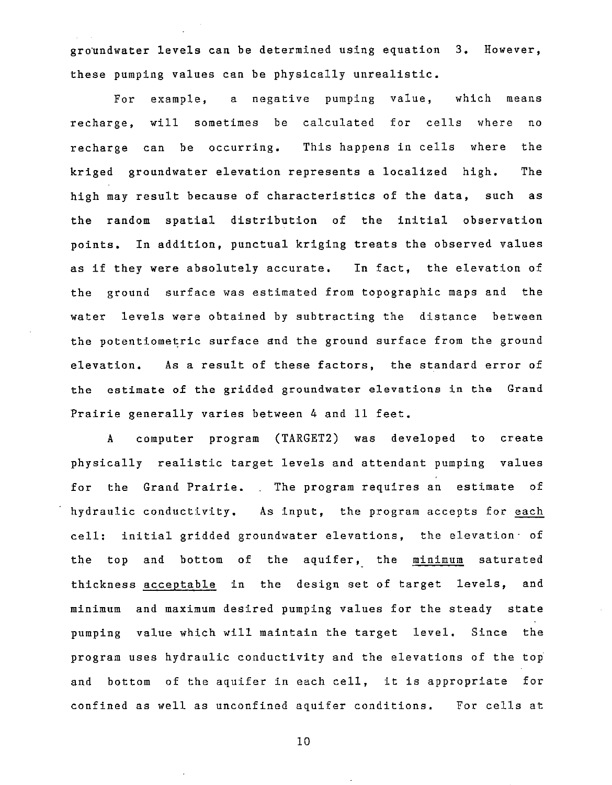groundwater levels can be determined using equation 3. However, these pumping values can be physically unrealistic.

For example, a negative pumping value, which means recharge, will sometimes be calculated for cells where no recharge can be occurring. This happens in cells where kriged groundwater elevation represents a localized high. the The high may result because of characteristics of the data, such as the random spatial distribution of the initial observation points. In addition, punctual kriging treats the observed values as if they were absolutely accurate. In fact, the elevation of the ground surface was estimated from topographic maps and the water levels were obtained by subtracting the distance between the potentiometric surface and the ground surface from the ground elevation. As a result of these factors, the standard error of the estimate of the gridded groundwater elevations in the Grand Prairie generally varies between 4 and 11 feet.

A computer program (TARGET2) was developed to create physically realistic target levels and attendant pumping values for the Grand Prairie. The program requires an estimate of hydraulic conductivity. As input, the program accepts for each cell: initial gridded groundwater elevations, the elevation of the top and bottom of the aquifer, the minimum saturated thickness acceptable in the design set of target levels, and minimum and maximum desired pumping values for the steady state pumping value which will maintain the target level. Since the program uses hydraulic conductivity and the elevations of the top and bottom of the aquifer in each cell, it is appropriate for confined as well as unconfined aquifer conditions. For cells at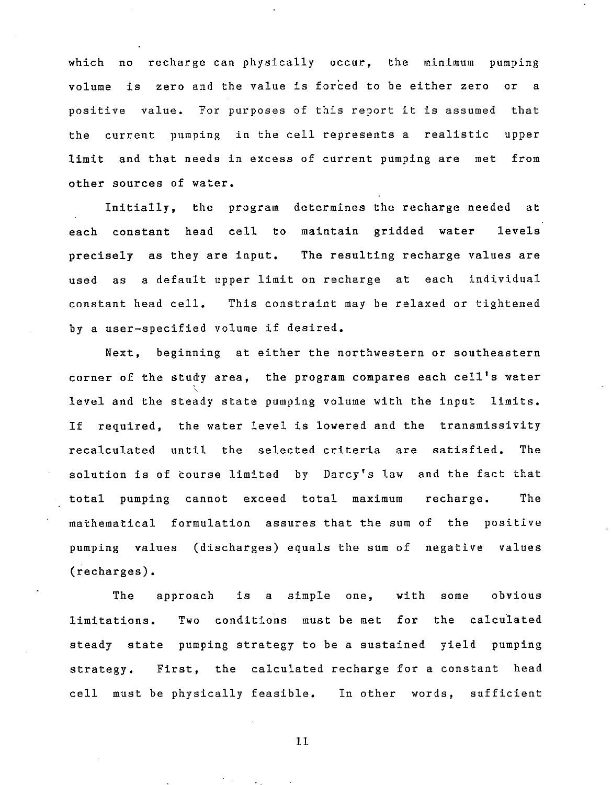which no recharge can physically occur, the minimum pumping volume is zero and the value is forced to be either zero or a positive value. For purposes of this report it is assumed that the current pumping in the cell represents a realistic upper limit and that needs in excess of current pumping are met from other sources of water.

Initially, the program determines the recharge needed at each constant head cell to maintain gridded water levels precisely as they are input. The resulting recharge values are used as a default upper limit on recharge at each individual constant head cell. This constraint may be relaxed or tightened by a user-specified volume if desired.

Next, beginning at either the northwestern or southeastern corner of the study area, the program compares each cell's water level and the steady state pumping volume with the input limits. If required, the water level is lowered and the transmissivity recalculated until the selected criteria are satisfied. The solution is of course limited by Darcy's law and the fact that total pumping cannot exceed total maximum recharge. The mathematical formulation assures that the sum of the positive pumping values (discharges) equals the sum of negative values (recharges).

The approach is a simple one, with some obvious limitations. Two conditions must be met for the calculated steady state pumping strategy to be a sustained yield pumping strategy. First, the calculated recharge for a constant head cell must be physically feasible. In other words, sufficient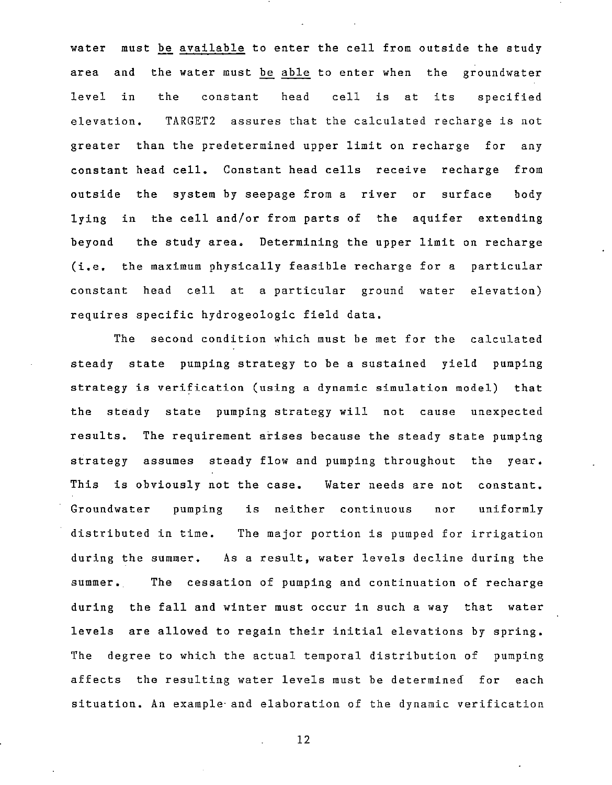water must be available to enter the cell from outside the study area and the water must be able to enter when the groundwater level in the constant head cell is at its specified elevation. TARGET2 assures that the calculated recharge is not greater than the predetermined upper limit on recharge for any constant head cell. Constant head cells receive recharge from outside the system by seepage from a river or surface body lying in the cell and/or from parts of the aquifer extending beyond the study area. Determining the upper limit on recharge (i.e. the maximum physically feasible recharge for a particular constant head cell at a particular ground water elevation) requires specific hydrogeologic field data.

The second condition which must be met for the calculated steady state pumping strategy to be a sustained yield pumping strategy is verification (using a dynamic simulation model) that the steady state pumping strategy will not cause unexpected results. The requirement arises because the steady state pumping strategy assumes steady flow and pumping throughout the year. This is obviously not the case. Water needs are not constant. Groundwater pumping distributed in time. The major portion is pumped for irrigation during the summer. As a result, water levels decline during the is neither continuous nor uniformly **summer •.** The cessation of pumping and continuation of recharge during the fall and winter must occur in such a way that water levels are allowed to regain their initial elevations by spring. The degree to which the actual temporal distribution of pumping affects the resulting water levels must be determined for each situation. An example- and elaboration of the dynamic verification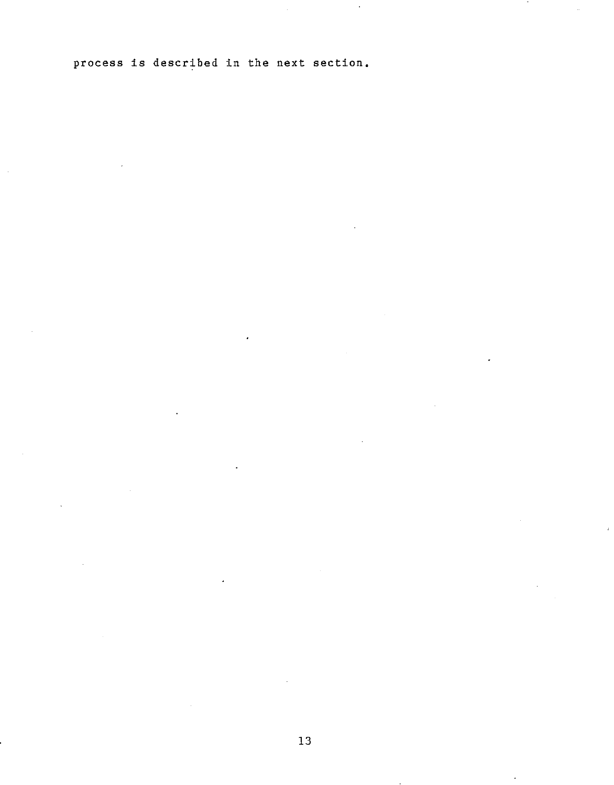process is described in the next section.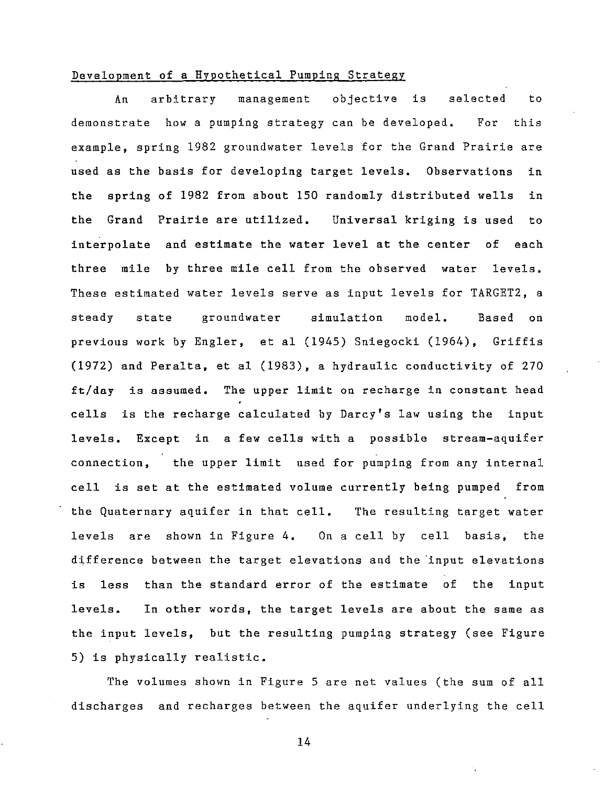#### Development of a Hypothetical Pumping Strategy

An arbitrary management objective is selected to demonstrate how a pumping strategy can be developed. For this example, spring 1982 groundwater levels for the Grand Prairie are used as the basis for developing target levels. Observations in the spring of 1982 from about 150 randomly distributed wells in the Grand Prairie are utilized. Universal kriging is used to interpolate and estimate the water level at the center of each three mile by three mile cell from the observed water levels. These estimated water levels serve as input levels for TARGET2, a steady state groundwater simulation model. Based on previous work by Engler, et al (1945) Sniegocki (1964), Griffis (1972) and Peralta, et al (1983), a hydraulic conductivity of 270 ft/day is assumed. The upper limit on recharge in constant head cells is the recharge calculated by Darcy's law using the input levels. Except in a few cells with a possible stream-aquifer connection, the upper limit used for pumping from any internal cell is set at the estimated volume currently being pumped from the Quaternary aquifer in that cell. The resulting target water levels are shown in Figure **4.** On a cell by cell basis; the difference between the target elevations and the "input elevations is less than the standard error of the estimate of the input levels. In other words, the target levels are about the same as the input levels, but the resulting pumping strategy (see Figure 5) is physically realistic.

The volumes shown in Figure 5 are net values (the sum of all discharges and recharges between the aquifer underlying the cell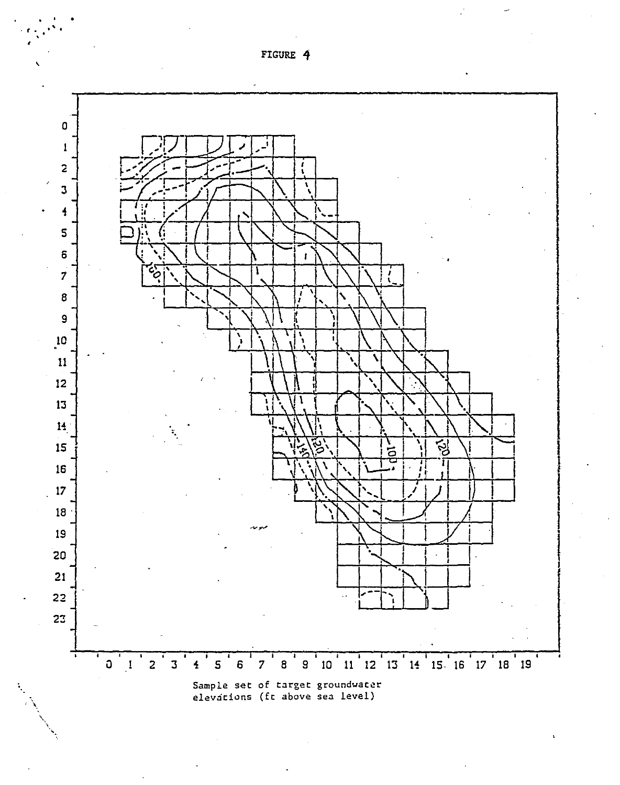

FIGURE 4

, ' . *. t* • ..", •

'.

•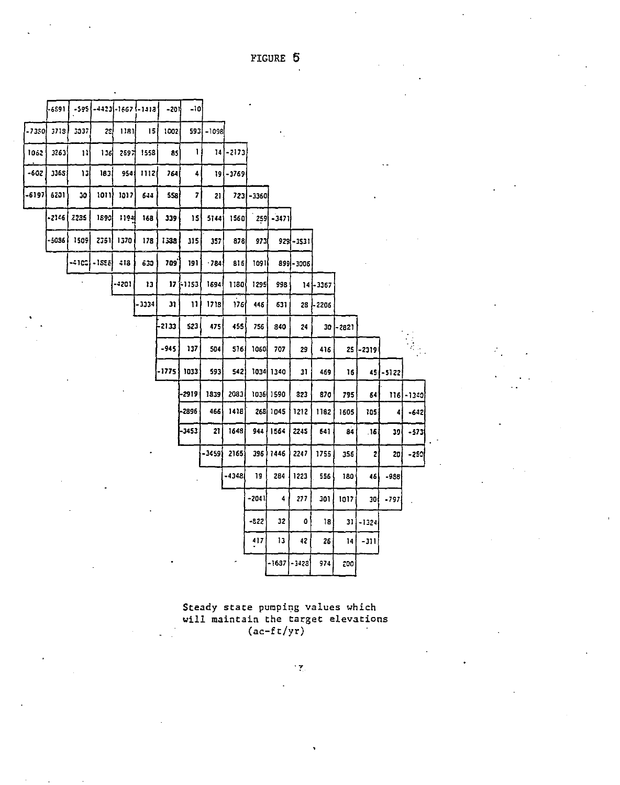FIGURE 5

|       | 6591  |              | -595 (-4423) -1667 (-1418) |       |        | -201   | -10         |           |             |            |             |            |           |              |              |            |              |
|-------|-------|--------------|----------------------------|-------|--------|--------|-------------|-----------|-------------|------------|-------------|------------|-----------|--------------|--------------|------------|--------------|
| -7350 | 5718  | 5537         | 29                         | ו גון | 151    | 1002   |             | 5931-1098 |             |            |             |            |           |              |              |            |              |
| 1062  | 3263  | $\mathbf{u}$ | 1361                       | 259기  | 1558   | 85     | 1           |           | $14[-2173]$ |            |             |            |           |              |              |            |              |
| -602  | 3368  | 13           | 183                        | 954   | 1112   | 764    | 4           |           | $19(-3769)$ |            |             |            |           |              |              |            |              |
| -6197 | 6201  | 10           | 1011                       | 1017  | 644    | 558    | 7           | 21.       |             | 723 - 3360 |             |            |           |              |              |            |              |
|       | -2146 | 2235         | 1890                       | 1194  | 168    | 339    | 15          | 5144      | 1560        |            | 259 - 3471  |            |           |              |              |            |              |
|       | -5096 | 1509         | 2351                       | 1570  | 178    | 1538   | 315         | 357       | 878         | 973        |             | 929 - 1531 |           |              |              |            |              |
|       |       |              | -- 103 - 1858              | $-13$ | 630    | 709    | 191         | $-784$    | 8161        | 1091       |             | 899-3006   |           |              |              |            |              |
|       |       |              |                            | -4201 | 13     |        | $17$ [-1153 | 1694      | 1180        | 1295       | 998         |            | 14 - 3367 |              |              |            |              |
|       |       |              |                            |       | - 3334 | 31     | 11          | 1718      | 176         | 446        | 531         | 28         | -2206     |              |              |            |              |
|       |       |              |                            |       |        | -2133  | 523         | 475       | 455         | 756        | 340         | 24         |           | $30$ $-2821$ |              |            |              |
|       |       |              |                            |       |        | $-945$ | 137         | 504       | 516         | 1060       | 707         | 29         | 416       | 25           | -2319        |            |              |
|       |       |              |                            |       |        | -1775  | 1033        | 593       | 5421        |            | 1034 1340   | 31         | 469       | 16           |              | 45 - 51 22 |              |
|       |       |              |                            |       |        |        | -2919       | 1839      | 2083        |            | 1036 1590   | 823        | 870       | 795          | 64           |            | $116[-13:0]$ |
|       |       |              |                            |       |        |        | -2896       | 466       | 1418        |            | 268 1045    | 1212       | 1182      | 1605         | 105          | 41         | $-642$       |
|       |       |              |                            |       |        |        | -3453       | 21        | 1648        | 944        | 1564        | 2245       | 641       | $\ddot{a}$   | .16          | 39         | $-573$       |
|       |       |              |                            |       |        |        |             | $-3459$   | 2165        | 396        | 1446        | 2247       | 1755      | 356          | $\mathbf{z}$ | 20)        | $-250$       |
|       |       |              |                            |       |        |        |             |           | -4348       | 19         | 284         | 1223       | 556       | 180          | 46           | $-988$     |              |
|       |       |              |                            |       |        |        |             |           |             | $-2041$    | 4           | 277        | 301       | 1017         | 30)          | $-797$     |              |
|       |       |              |                            |       |        |        |             |           |             | $-822$     | 32          | 0          | 18        | 31           | $-1324$      |            |              |
|       |       |              |                            |       |        |        |             |           |             | 417        | 13          | 42         | 26        | 14           | $-311$       |            |              |
|       |       |              |                            |       |        |        |             |           |             |            | -16871-3428 |            | 974       | 200          |              |            |              |
|       |       |              |                            |       |        |        |             |           |             |            |             |            |           |              |              |            |              |

Steady state pumping values which will maintain the target elevations (ac-ft/yr)

 $\mathcal{L}_{\overline{\mathcal{M}}}$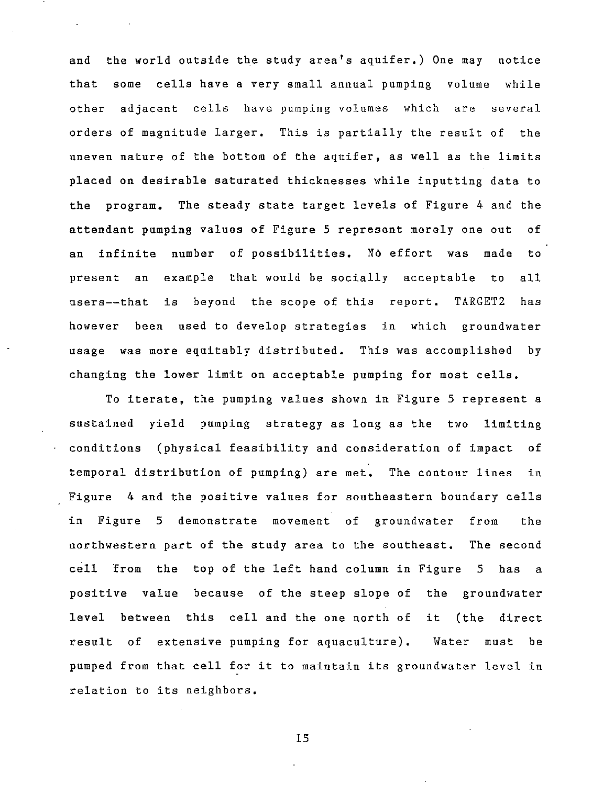and the world outside the study area's aquifer.) One may notice that some cells have a very small annual pumping volume while other adjacent cells have pumping volumes which are several orders of magnitude larger. This is partially the result of the uneven nature of the bottom of the aquifer, as well as the limits placed on desirable saturated thicknesses while inputting data to the program. The steady state target levels of Figure 4 and the attendant pumping values of Figure 5 represent merely one out of an infinite number of possibilities. No effort was made to present an example that would be socially acceptable to all users--that is beyond the scope of this report. TARGET2 has however been used to develop strategies in which groundwater usage was more equitably distributed. This was accomplished by changing the lower limit on acceptable pumping for most cells.

To iterate, the pumping values shown in Figure 5 represent a sustained yield pumping strategy as long as the two limiting conditions (physical feasibility and consideration of impact of temporal distribution of pumping) are met. The contour lines in Figure 4 and the positive values for southeastern boundary cells in Figure 5 demonstrate movement of groundwater from the northwestern part of the study area to the southeast. The second cell from the top of the left hand column in Figure 5 has a positive value because of the steep slope of the groundwater level between this cell and the ohe north of it (the direct result of extensive pumping for aquaculture). Water must be pumped from that cell for it to maintain its groundwater level in relation to its neighbors.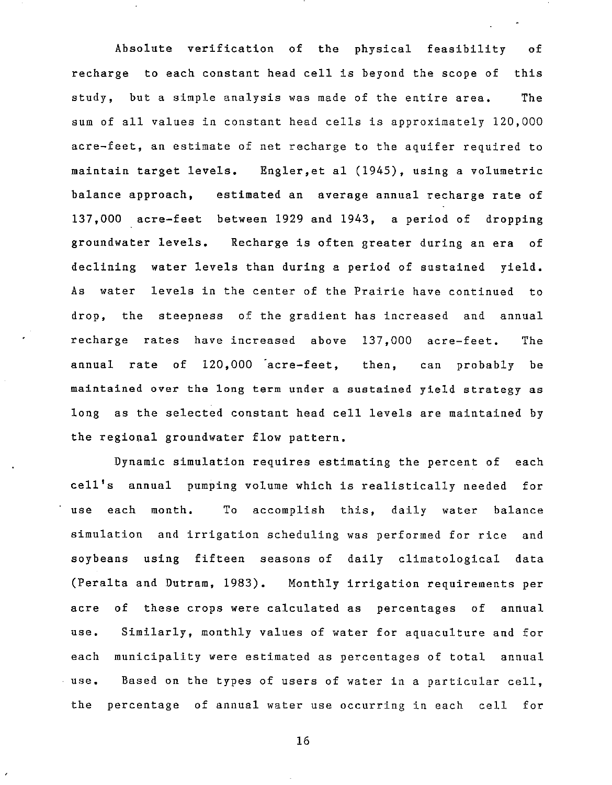Absolute verification of the physical feasibility of recharge to each constant head cell is beyond the scope of this study, but a simple analysis was made of the entire area. The sum of all values in constant head cells is approximately 120,000 acre-feet, an estimate of net recharge to the aquifer required to maintain target levels. Engler,et al (1945), using a volumetric balance approach, estimated an average annual recharge rate of 137,000 acre-feet between 1929 and 1943, a period of dropping groundwater levels. Recharge is often greater during an era of declining water levels than during a period of sustained yield. As water levels in the center of the Prairie have continued to drop, the steepness of the gradient has increased and annual recharge rates have increased above 137,000 acre-feet. The annual rate of 120,000 acre-feet, then, can probably be maintained over the long term under a sustained yield strategy as long as the selected constant head cell levels are maintained by the regional groundwater flow pattern.

Dynamic simulation requires estimating the percent of each cell's annual pumping volume which is realistically needed for use each month. To accomplish this, daily water balance simulation and irrigation scheduling was performed for rice and soybeans using fifteen seasons of daily climatological data (Peralta and Dutram, 1983). Monthly irrigation requirements per acre of these crops were calculated as percentages of annual use. Similarly, monthly values of water for aquaculture and for each municipality were estimated as percentages of total annual use. Based on the types of users of water in a particular cell, the percentage of annual water use occurring in each cell for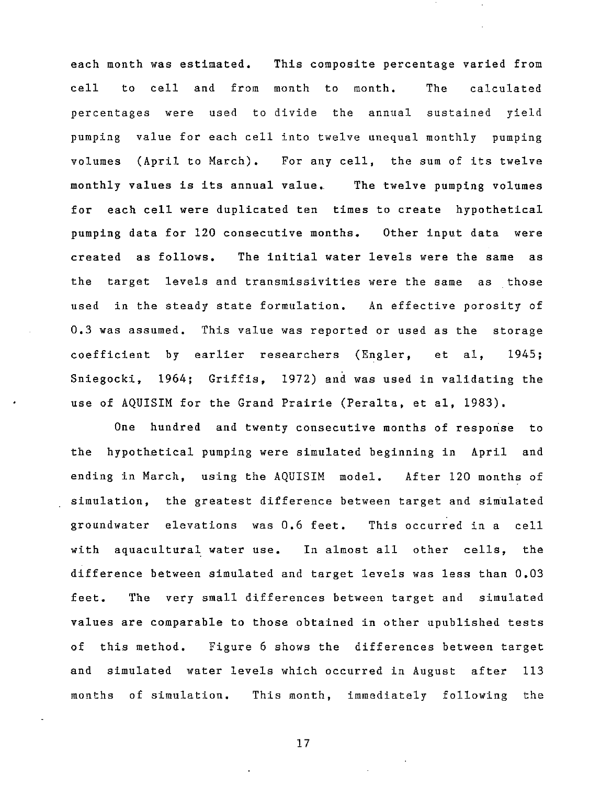each month was estimated. This composite percentage varied from cell to cell and from month to month. The calculated percentages were used to divide the annual sustained yield pumping value for each cell into twelve unequal monthly pumping volumes (April to March). For any cell, the sum of its twelve monthly values is its annual value. for each cell were duplicated ten times to create hypothetical The twelve pumping volumes pumping data for 120 consecutive months. Other input data were created as follows. The initial water levels were the same as the target levels and transmissivities were the same as those used in the steady state formulation. An effective porosity of 0.3 was assumed. This value was reported or used as the storage coefficient by earlier researchers (Engler, et aI, 1945; Sniegocki, 1964; Griffis, 1972) and was used in validating the use of AQUISIM for the Grand Prairie (Peralta, et aI, 1983).

One hundred and twenty consecutive months of response to the hypothetical pumping were simulated beginning in April and ending in March, using the AQUISIM model. After 120 months of simulation, the greatest difference between target and simulated groundwater elevations was 0.6 feet. This occurred in a cell with aquacultural water use. In almost all other cells, the difference between simulated and target levels was less than 0.03 feet. The very small differences between target and simulated values are comparable to those obtained in other upublished tests of this method. Figure 6 shows the differences between target and simulated water levels which occurred in August after 113 months of simulation. This month, immediately following the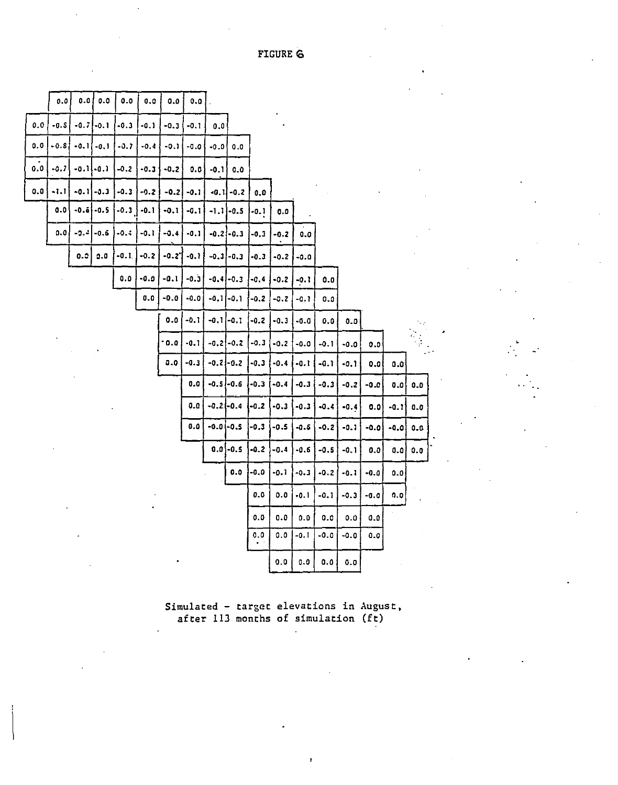|     | 0.0    | 0.0     | 0.0           | $0.0\,$  | $\pmb{0.0}$ | 0.0         | 0.0    |                 |                |        |        |        |        |        |        |        |                |
|-----|--------|---------|---------------|----------|-------------|-------------|--------|-----------------|----------------|--------|--------|--------|--------|--------|--------|--------|----------------|
| 0.0 | $-0.5$ |         | $-0.7$ $-0.1$ | $-0.3$   | $-0.1$      | $-0.3$      | $-0.1$ | 0.01            |                |        |        |        |        |        |        |        |                |
| O.O | $-0.5$ | $-0.11$ | $-0.1$        | $-0.7$   | $-0.4$      | $-0.1$      | $-0.0$ | $-0.0$          | 0.0            |        |        |        |        |        |        |        |                |
| 0.O | $-0.7$ |         | $-0.1$ $-0.1$ | $-0.2$   | $-0.3$      | $-0.2$      | 0.0    | $-0.1$          | 0.0            |        |        |        |        |        |        |        |                |
| 0.0 | $-1.1$ |         | $-0.1$ $-0.3$ | $-0.3$   | $-0.2$      | $-0.2$      | $-0.1$ |                 | $-0.11 - 0.2$  | 0.0    |        |        |        |        |        |        |                |
|     | 0.0    |         | $-0.6 - 0.5$  | $-0.3$ } | $-0.1$      | -0.1        | -0.1   |                 | $-1.1 - 0.5$   | -0.1   | 0.0    |        |        |        |        |        |                |
|     | 0.0    | $-2.4$  | $-0.6$        | $-0.3$   | $-0.1$      | $-0.4$      | $-0.1$ |                 | $-0.2 - 0.3$   | $-0.3$ | $-0.2$ | 0.0    |        |        |        |        |                |
|     |        | 0.5     | 0.0           | $-0.1$   | $-0.2$      | $-0.2$      | $-0.1$ |                 | $-0.3 - 0.3$   | -0.3   | $-0.2$ | $-0.0$ |        |        |        |        |                |
|     |        |         |               | 0.0      | -0.0        | $-0.1$      | $-0.3$ |                 | $-0.4$ $-0.3$  | $-0.4$ | $-0.2$ | $-0.1$ | 0.0    |        |        |        |                |
|     |        |         |               |          | 0.0         | $-0.0$      | -0.0   |                 | $-0.1$ $-0.1$  | $-0.2$ | $-0.2$ | $-0.1$ | 0.0    |        |        |        |                |
|     |        |         |               |          |             | 0.0         | -0.1   | $-0.1$ ] $-0.1$ |                | -0.2   | $-0.3$ | $-0.0$ | 0.0    | 0.0    |        |        |                |
|     |        |         |               |          |             | $-0.0$      | $-0.1$ |                 | $-0.2$ $-0.2$  | $-0.3$ | $-0.2$ | $-0.0$ | $-0.1$ | $-0.0$ | 0.0    |        |                |
|     |        |         |               |          |             | ${\bf 0.0}$ | $-0.3$ |                 | $-0.2$ $-0.2$  | $-0.3$ | $-0.4$ | $-0.1$ | $-0.1$ | $-0.1$ | 0.0    | 0.0    |                |
|     |        |         |               |          |             |             | 0.0    | $-0.5 - 0.6$    |                | -0.3   | $-0.4$ | $-0.3$ | $-0.3$ | $-0.2$ | -0.0   | 0.0    | 0.0            |
|     |        |         |               |          |             |             | 0.0    | $-0.2(-0.4)$    |                | 1-0.2  | $-0.3$ | $-0.3$ | $-0.4$ | $-0.4$ | 0.0    | $-0.1$ | 0.0            |
|     |        |         |               |          |             |             | 0.0    | $-0.0$ -0.5     |                | $-0.3$ | $-0.5$ | $-0.5$ | $-0.2$ | $-0.1$ | $-0.0$ | -0.01  | $\mathbf{0.0}$ |
|     |        |         |               |          |             |             |        |                 | $0.0$ -0.5     | $-0.2$ | -0.4   | -0.6   | $-0.5$ | -0. 1  | 0.0    | 0.0    | 0.0            |
|     |        |         |               |          |             |             |        |                 | $\mathbf{0.0}$ | -0.0   | -0.1   | $-0.3$ | $-0.2$ | $-0.1$ | $-0.0$ | 0.0    |                |
|     |        |         |               |          |             |             |        |                 |                | 0.0    | 0.0    | $-0.1$ | $-0.1$ | $-0.3$ | $-0.0$ | 0.0    |                |
|     |        |         |               |          |             |             |        |                 |                | 0.0    | 0.0    | 0.0    | 0.0    | 0.0    | 0.0    |        |                |
|     |        |         |               |          |             |             |        |                 |                | 0.0    | 0.0    | $-0.1$ | $-0.0$ | -0.0   | 0.0    |        |                |
|     |        |         |               |          |             |             |        |                 |                |        | 0.0    | 0.0    | 0.0    | 0.0    |        |        |                |

**Simulated - target elevations in August,**  after 113 months of simulation (ft)

. . ..

FIGURE G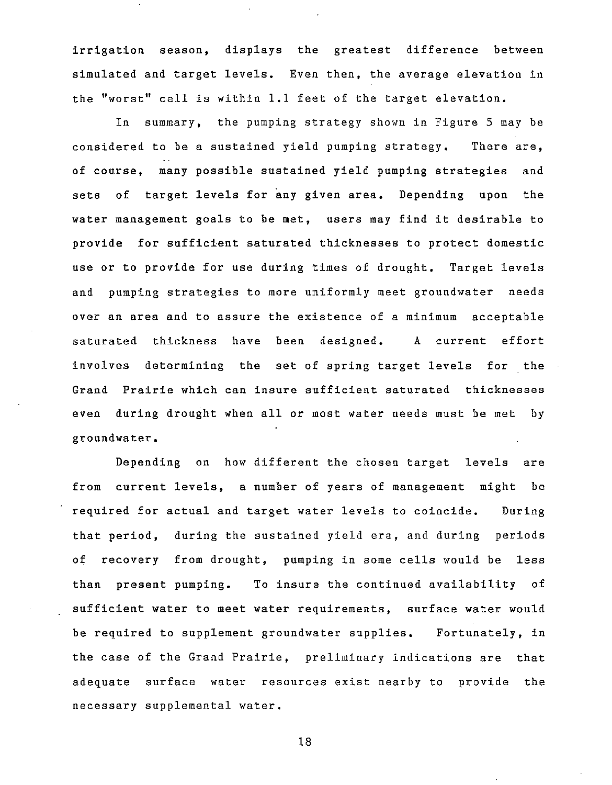irrigation season, displays the greatest difference between simulated and target levels. Even then, the average elevation in the "worst" cell is within 1.1 feet of the target elevation.

In summary, the pumping strategy shown in Figure 5 may be considered to be a sustained yield pumping strategy. There are, of course, many possible sustained yield pumping strategies and sets of target levels for any given area. Depending upon the water management goals to be met, users may find it desirable to provide for sufficient saturated thicknesses to protect domestic use or to provide for use during times of drought. Target levels and pumping strategies to more uniformly meet groundwater needs over an area and to assure the existence of a minimum acceptable saturated thickness have been designed. A current effort involves determining the set of spring target levels for the Grand Prairie which can insure sufficient saturated thicknesses even during drought when all or most water needs must be met by groundwater.

Depending on how different the chosen target levels are from current levels, a number of years of management might be required for actual and target water levels to coincide. During that period, during the sustained yield era, and during periods of recovery from drought, pumping in some cells would be less than present pumping. To insure the continued availability of sufficient water to meet water requirements, surface water would be required to supplement groundwater supplies. Fortunately, in the case of the Grand Prairie, preliminary indications are that adequate surface water resources exist nearby to provide the necessary supplemental water.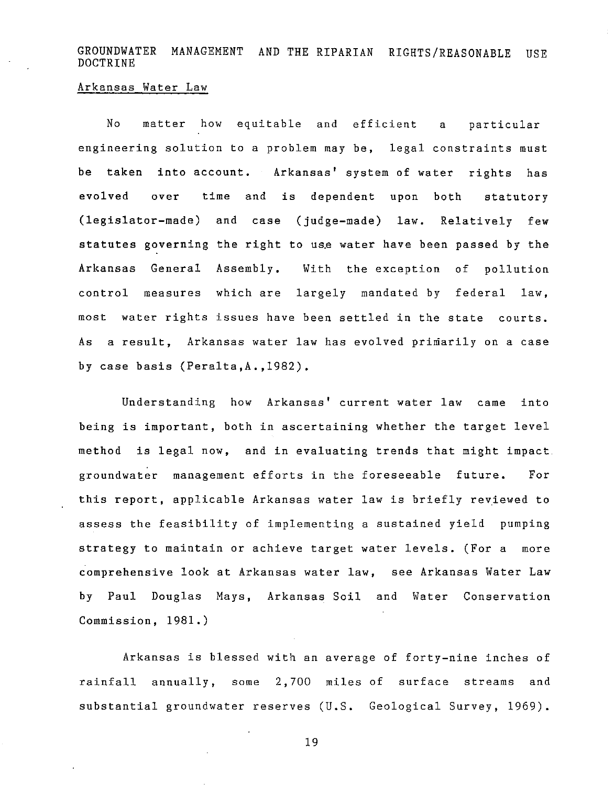GROUNDWATER MANAGEMENT AND THE RIPARIAN RIGHTS/REASONABLE USE DOCTRINE

#### Arkansas Water Law

No matter how equitable and efficient a particular engineering solution to a problem may be, legal constraints must be taken into account. Arkansas' system of water rights has evolved over time and is dependent upon both statutory (legislator-made) and case (judge-made) law. Relatively few statutes governing the right to use water have been passed by the Arkansas General Assembly. With the exception of pollution control measures which are largely mandated by federal law, most water rights issues have been settled in the state courts. As a result, Arkansas water law has evolved primarily on a case by case basis (Peralta,A.,1982).

Understanding how Arkansas' current water law came into being is important, both in ascertaining whether the target level method is legal now, and in evaluating trends that might impact groundwater management efforts in the foreseeable future. For this report, applicable Arkansas water law is briefly reviewed to assess the feasibility of implementing a sustained yield pumping strategy to maintain or achieve target water levels. (For a more comprehensive look at Arkansas water law, see Arkansas Water Law by Paul Douglas Mays, Arkansas Soil and Water Conservation Commission, 1981.)

Arkansas is blessed with an average of forty-nine inches of rainfall annually, some 2,700 miles of surface streams and substantial groundwater reserves (U.S. Geological Survey, 1969).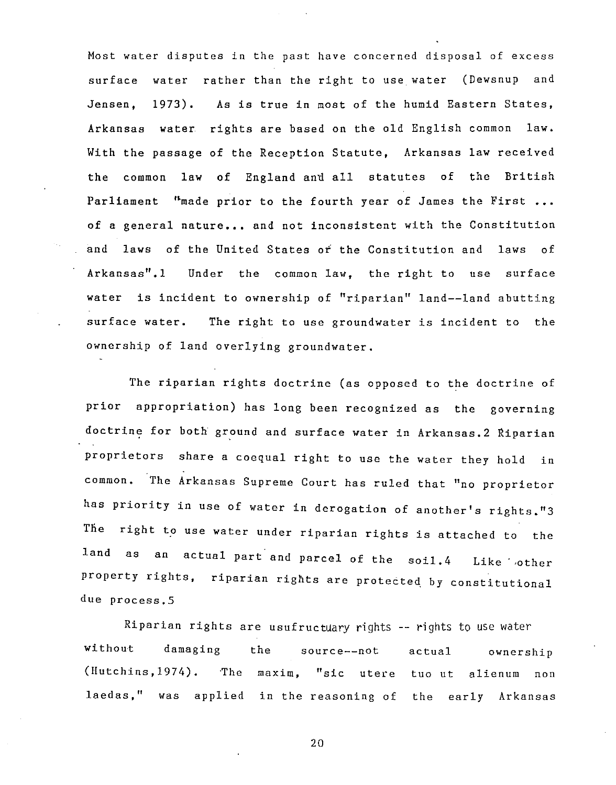Most water disputes in the past have concerned disposal of excess surface water rather than the right to use water (Dewsnup and Jensen, 1973). As is true in most of the humid Eastern States, Arkansas water rights are based on the old English common law. With the passage of the Reception Statute, Arkansas law received the common law of England and all statutes of the British Parliament "made prior to the fourth year of James the First ... of a general nature... and not inconsistent with the Constitution and laws of the United States *ot* the Constitution and laws of Arkansas".1 Under the common law, the right to use surface water is incident to ownership of "riparian" land--land abutting surface water. The right to use groundwater is incident to the ownership of land overlying groundwater.

The riparian rights doctrine (as opposed to the doctrine of prior appropriation) has long been recognized as the governing doctrine for both ground and surface water in Arkansas. 2 Riparian proprietors share a coequal right to use the water they hold in common. The Arkansas Supreme Court has ruled that "no proprietor has priority in use of water in derogation of another's rights."3 The right to use water under riparian rights is attached to the land as an actual part and parcel of the soil.4 Like other property rights, riparian rights are protected by constitutional due process.S

Riparian rights are usufructUary rights -- rights to use water without damaging the source--not actual ownership (Hutchins,1974). 'The maxim, "sic utere tuo ut alienum non laedas," was applied in the reasoning of the early Arkansas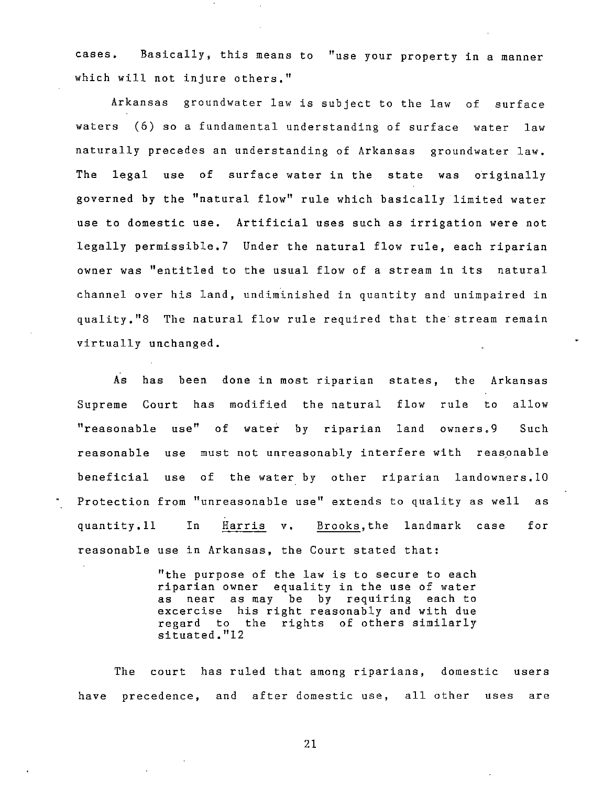cases. Basically, this means to "use your property in a manner which will not injure others."

Arkansas groundwater law is subject to the law of surface waters (6) so a fundamental understanding of surface water law naturally precedes an understanding of Arkansas groundwater law. The legal use of surface water in the state was originally governed by the "natural flow" rule which basically limited water use to domestic use. Artificial uses such as irrigation were not legally permissible.7 Under the natural flow rule, each riparian owner was "entitled to the usual flow of a stream in its natural channel over his land, undiminished in quantity and unimpaired in quality."8 The natural flow rule required that the stream remain virtually unchanged.

As has been done in most riparian states, the Arkansas Supreme Court has modified the natural flow rule to allow "reasonable use" of water by riparian land owners.9 Such reasonable use must not unreasonably interfere with reasonable beneficial use of the water by other riparian landowners.l0 Protection from "unreasonable use" extends to quality as well as quantity.ll In Harris **v.** Brooks,the landmark case reasonable use in Arkansas, the Court stated that: for

> "the purpose of the law is to secure to each riparian owner equality in the use of water as near as may be by requiring each to excercise his right reasonably and with due regard to the rights of others similarly situated."12

The court has ruled that among riparians, domestic users have precedence, and after domestic use, all other uses are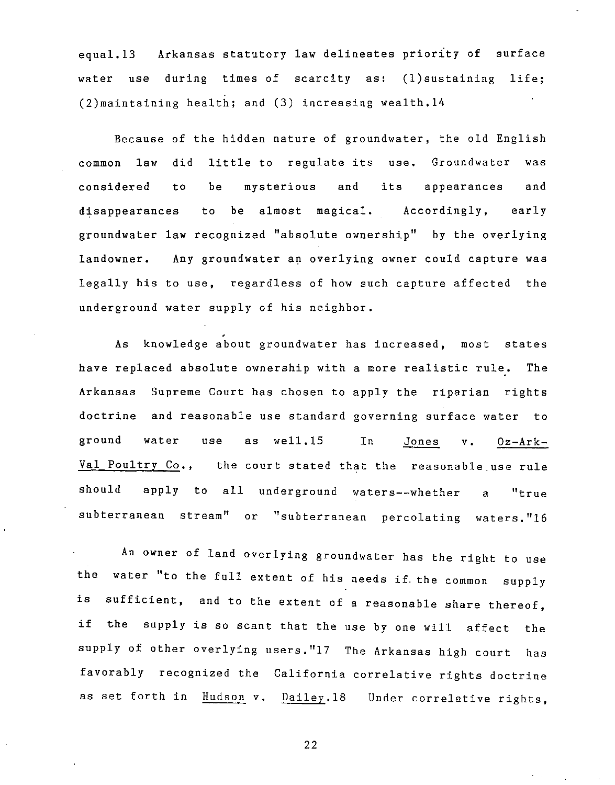equal.13 Arkansas statutory law delineates priority of surface water use during times of scarcity as: (l)sustaining life; (2)maintaining health; and (3) increasing wealth.14

Because of the hidden nature of groundwater, the old English common law did little to regulate its use. Groundwater was considered to be mysterious and its appearances and disappearances to be almost magical. Accordingly, early groundwater law recognized "absolute ownership" by the overlying landowner. Any groundwater an overlying owner could capture was legally his to use, regardless of how such capture affected the underground water supply of his neighbor.

As knowledge about groundwater has increased, most states have replaced absolute ownership with a more realistic rule. The Arkansas Supreme Court has chosen to apply the riparian rights doctrine and reasonable use standard governing surface water to ground water use as well.1S In Jones v. Oz-Ark-Val Poultry Co., the court stated that the reasonable use rule should apply to all underground waters--whether a **"true**  subterranean stream" or "subterranean percolating waters."16

An owner of land overlying groundwater has the right to use the water "to the full extent of his needs if, the common supply is sufficient, and to the extent of a reasonable share thereof, if the supply is so scant that the use by one will affect the supply of other overlying users."17 The Arkansas high court has favorably recognized the California correlative rights doctrine as set forth in Hudson v. Dailey.18 Under correlative rights,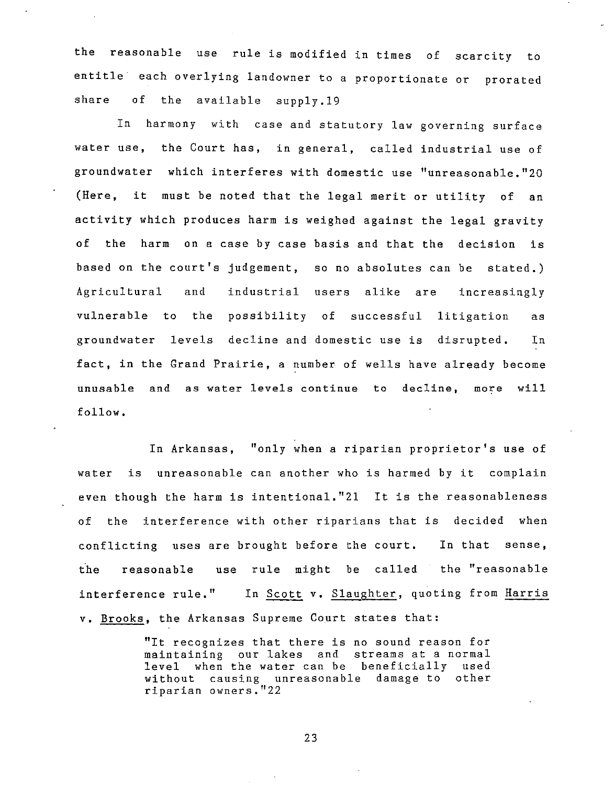the reasonable use rule is modified in times of scarcity to entitle each overlying landowner to a proportionate or prorated share of the available supply.19

In harmony with case and statutory law governing surface water use, the Court has, in general, called industrial use of groundwater which interferes with domestic use "unreasonable."20 (Here, it must be noted that the legal merit or utility of an activity which produces harm is weighed against the legal gravity of the harm on a case by case basis and that the decision is based on the court's judgement, so no absolutes can be stated.) Agricultural and industrial users alike are increasingly vulnerable to the possibility of successful litigation as groundwater levels decline and domestic use is disrupted. In fact, in the Grand Prairie, a number of wells have already become unusable and as water levels continue to decline, more will follow.

In Arkansas, "only when a riparian proprietor's use of water is unreasonable can another who is harmed by it complain even though the harm is intentional."2l It is the reasonableness of the interference with other riparians that is decided when conflicting uses are brought before the court. In that sense, the reasonable use rule might be called the "reasonable interference rule." In Scott **v.** Slaughter, quoting from Harris **v.** Brooks, the Arkansas Supreme Court states that:

> "It recognizes that there is no sound reason for maintaining our lakes and streams at a normal level when the water can be beneficially used without causing unreasonable damage to other riparian owners."22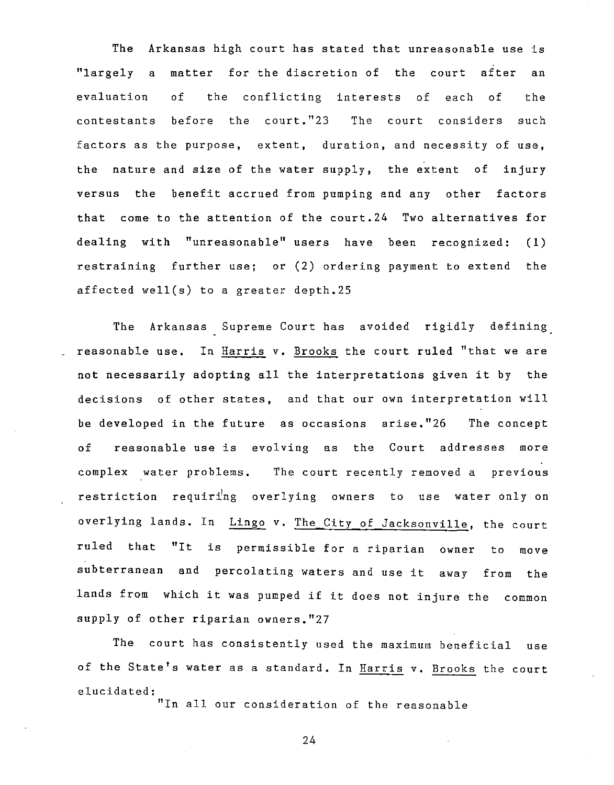The Arkansas high court has stated that unreasonable use is "largely a matter for the discretion of the court after an evaluation of the conflicting interests of each of the contestants before the court."23 The court considers such factors as the purpose, extent, duration, and necessity of use, the nature and size of the water supply, the extent of injury versus the benefit accrued from pumping and any other factors that come to the attention of the court.24 Two alternatives for dealing with "unreasonable" users have been recognized: (1) restraining further use; or (2) ordering payment to extend the affected well(s) to a greater depth.25

The Arkansas Supreme Court has avoided rigidly defining reasonable use. In Harris v. Brooks the court ruled "that we are not necessarily adopting all the interpretations given it by the decisions of other states, and that our own interpretation will be developed in the future as occasions arise."26 The concept of reasonable use is evolving as the Court addresses more complex water problems. The court recently removed a previous restriction requiring overlying owners to use water only on overlying lands. In Lingo v. The City of Jacksonville, the court ruled that "It is permissible for a riparian owner to move subterranean and percolating waters and use it away from the lands from which it was pumped if it does not injure the common supply of other riparian owners."27

The court has consistently used the maximum beneficial use of the State's water as a standard. In Harris v. Brooks the court elucidated:

"In all our consideration of the reasonable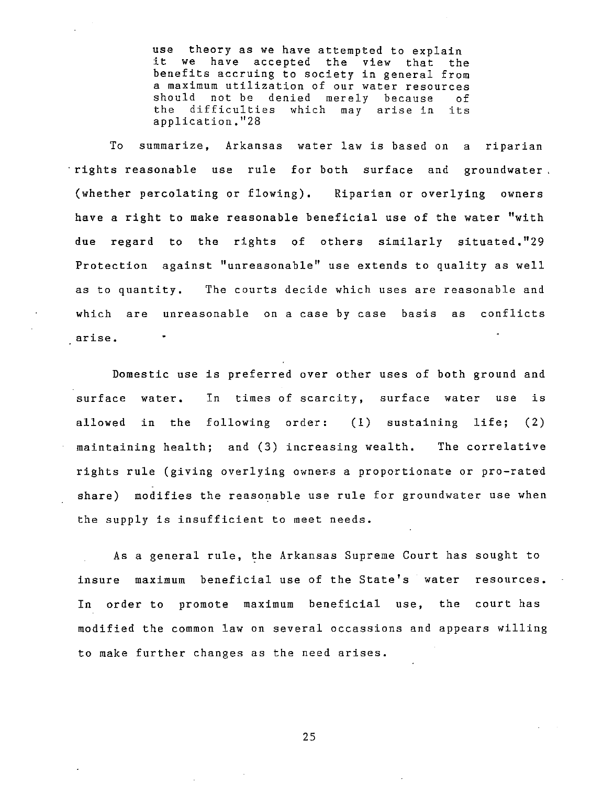use theory as we have attempted to explain it we have accepted the view that the benefits accruing to society in general from a maximum utilization of our water resources should not be denied merely because<br>the difficulties which may arise in the difficulties which may arise in its application."28

To summarize, Arkansas water law is based on a riparian "rights reasonable use rule for both surface and groundwater (whether percolating or flowing). Riparian or overlying owners have a right to make reasonable beneficial use of the water "with due regard to the rights of others similarly situated."29 Protection against "unreasonable" use extends to quality as well as to quantity. The courts decide which uses are reasonable and which are unreasonable on a case by case basis as conflicts **arise.** 

Domestic use is preferred over other uses of both ground and surface water. In times of scarcity, surface water use is allowed in the following order: (1) sustaining life; (2) maintaining health; and (3) increasing wealth. The correlative rights rule (giving overlying owners a proportionate or pro-rated share) modifies the reasonable use rule for groundwater use when the supply is insufficient to meet needs.

As a general rule, the Arkansas Supreme Court has sought to insure maximum beneficial use of the State's water resources. In order to promote maximum beneficial use, the court has modified the common law on several occassions and appears willing to make further changes as the need arises.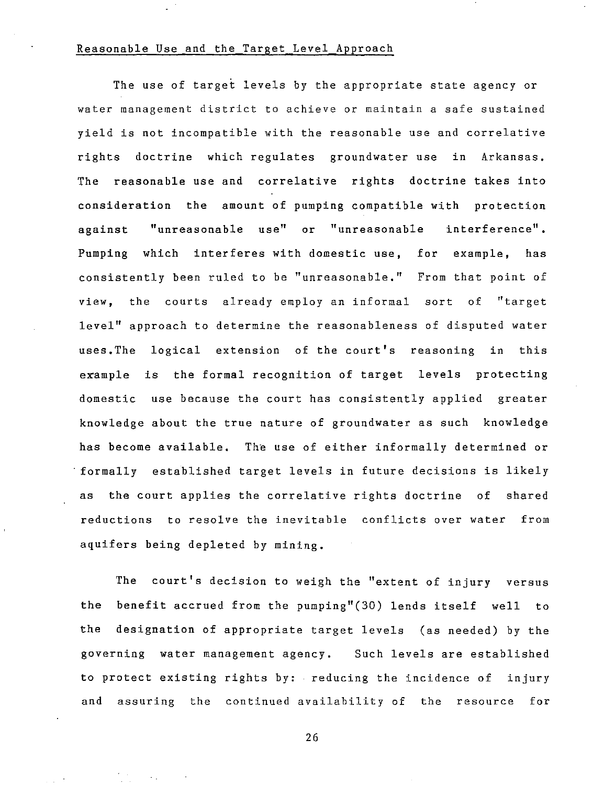#### Reasonable Use and the Target Level Approach

The use of target levels by the appropriate state agency or water management district to achieve or maintain a safe sustained yield is not incompatible with the reasonable use and correlative rights doctrine which regulates groundwater use in Arkansas. The reasonable use and correlative rights doctrine takes into consideration the amount of pumping compatible with protection against "unreasonable use" or "unreasonable interference". Pumping which interferes with domestic use, for example, has consistently been ruled to be "unreasonable." From that point of view, the courts already employ an informal sort of "target level" approach to determine the reasonableness of disputed water uses.The logical extension of the court's reasoning in this example is the formal recognition of target levels protecting domestic use because the court has consistently applied greater knowledge about the true nature of groundwater as such knowledge has become available. The use of either informally determined or . formally established target levels in future decisions is likely as the court applies the correlative rights doctrine of shared reductions to resolve the inevitable conflicts over water from aquifers being depleted by mining.

The court's decision to weigh the "extent of injury versus the benefit accrued from the pumping"(30) lends itself well to the designation of appropriate target levels (as needed) by the governing water management agency. Such levels are established to protect existing rights by: reducing the incidence of injury and assuring the continued availability of the resource for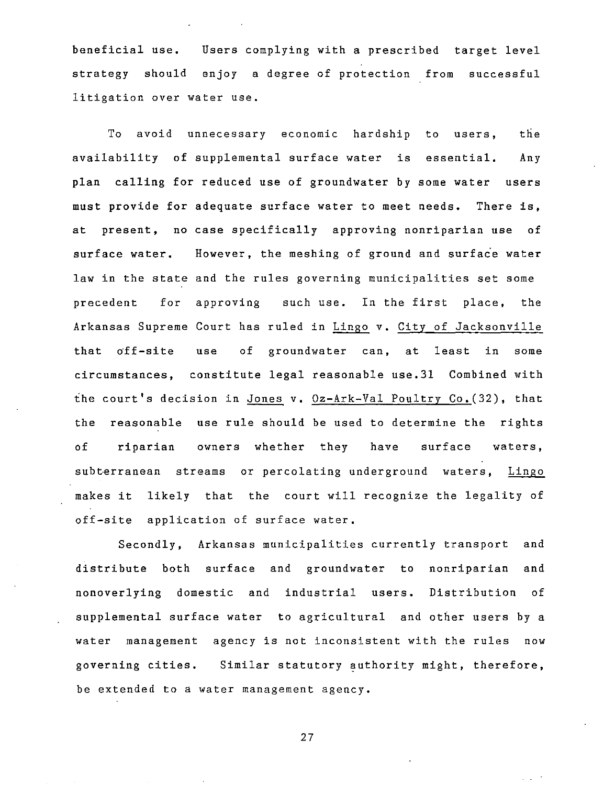beneficial use. Users complying with a prescribed target level strategy should enjoy a degree of protection from successful litigation over water use.

To avoid unnecessary economic hardship to users, the availability of supplemental surface water is essential. Any plan calling for reduced use of groundwater by some water users must provide for adequate surface water to meet needs. There is, at present, no case specifically approving nonriparian use of surface water. However, the meshing of ground and surface water law in the state and the rules governing municipalities set some precedent for approving such use. In the first place, the Arkansas Supreme Court has ruled in Lingo v. City of Jacksonville that off-site use of groundwater can, at least in some circumstances, constitute legal reasonable use.31 Combined with the court's decision in Jones v. Oz-Ark-Val Poultry Co.(32), that the reasonable use rule should be used to determine the rights of riparian owners whether they have surface waters, subterranean streams or percolating underground waters, Lingo makes it likely that the court will recognize the legality of off-site application of surface water.

Secondly, Arkansas municipalities currently transport and distribute both surface and groundwater to nonriparian and nonoverlying domestic and industrial users. Distribution of supplemental surface water to agricultural and other users by a water management agency is not inconsistent with the rules now governing cities. Similar statutory authority might, therefore, be extended to a water management agency.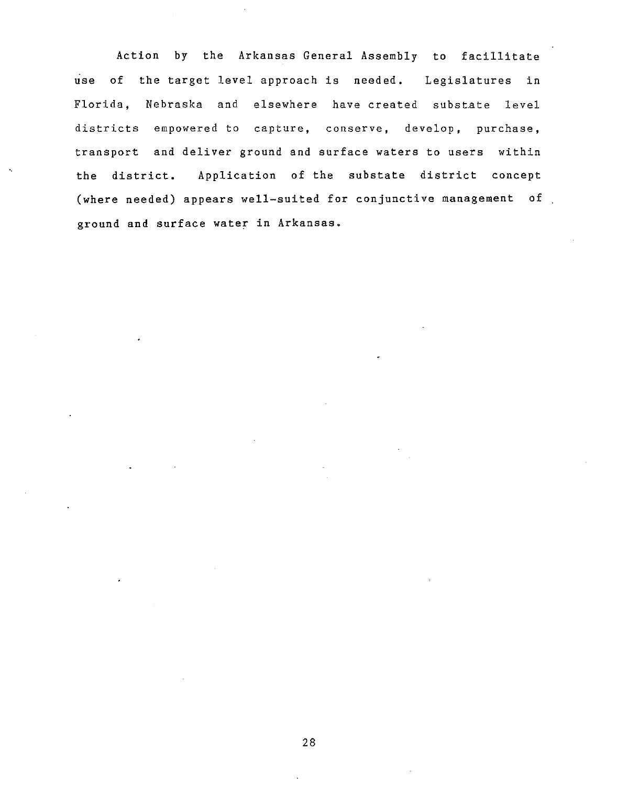Action by the Arkansas General Assembly to facillitate use of the target level approach is needed. Legislatures in Florida, Nebraska and elsewhere have created substate level districts empowered to capture, conserve, develop, purchase, transport and deliver ground and surface waters to users within the district. Application of the substate district concept (where needed) appears well-suited for conjunctive management of ground and surface water in Arkansas.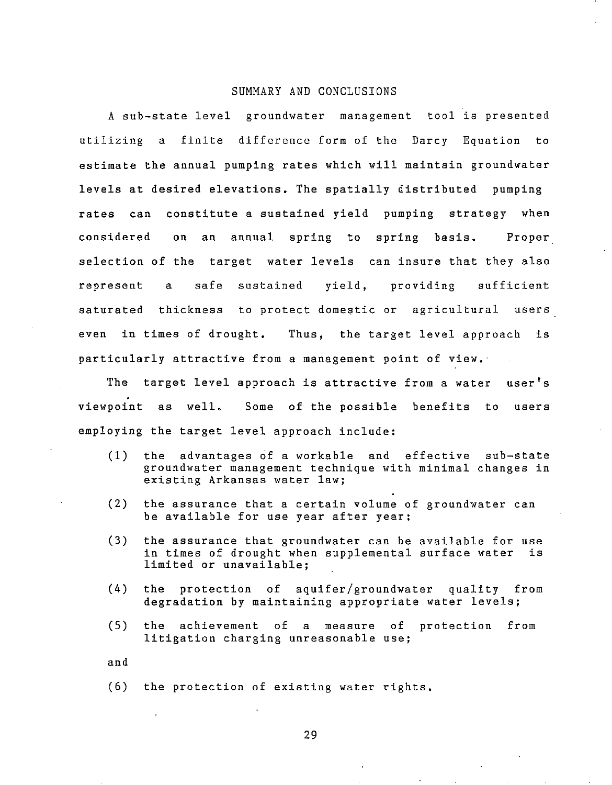#### SUMMARY AND CONCLUSIONS

A sub-state level groundwater management tool is presented utilizing a finite difference form of the Darcy Equation to estimate the annual pumping rates which will maintain groundwater levels at desired elevations. The spatially distributed pumping rates can constitute a sustained yield pumping strategy when considered on an annual spring to spring basis. Proper selection of the target water levels can insure that they also represent a safe sustained yield, providing sufficient saturated thickness to protect domestic or agricultural users even in times of drought. Thus, the target level approach is particularly attractive from a management point of view.

The target level approach is attractive from a water user's viewpoint as well. Some of the possible benefits to users employing the target level approach include:

- (1) the advantages of a workable and effective sub-state groundwater management technique with minimal changes in existing Arkansas water law;
- (2) the assurance that a certain volume of groundwater can be available for use year after year;
- (3) the assurance that groundwater can be available for use in times of drought when supplemental surface water is limited or unavailable;
- (4) the protection of aquifer/groundwater quality from degradation by maintaining appropriate water levels;
- (5) the achievement of a measure of protection from litigation charging unreasonable use;

and

(6) the protection of existing water rights.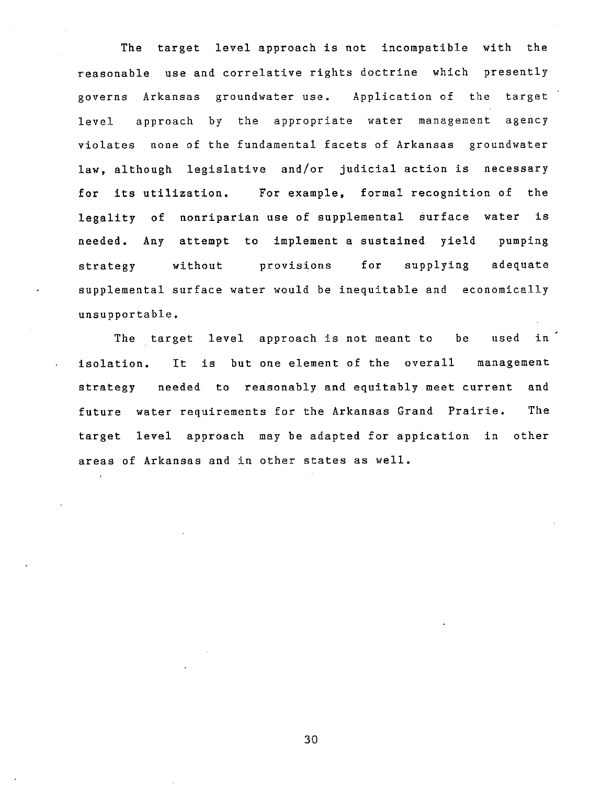The target level approach is not incompatible with the reasonable use and correlative rights doctrine which presently governs Arkansas groundwater use. Application of the target level approach by the appropriate water management agency violates none of the fundamental facets of Arkansas groundwater law, although legislative and/or judicial action is necessary for its utilization. For example, formal recognition of the legality of nonriparian use of supplemental surface water is needed. Any attempt to implement a sustained yield pumping strategy without provisions for supplying adequate supplemental surface water would be inequitable and economically unsupportable.

The target level approach is not meant to be used in isolation. It is but one element of the overall management strategy needed to reasonably and equitably meet current and future water requirements for the Arkansas Grand Prairie. The target level approach may be adapted for appication in other areas of Arkansas and in other states as well.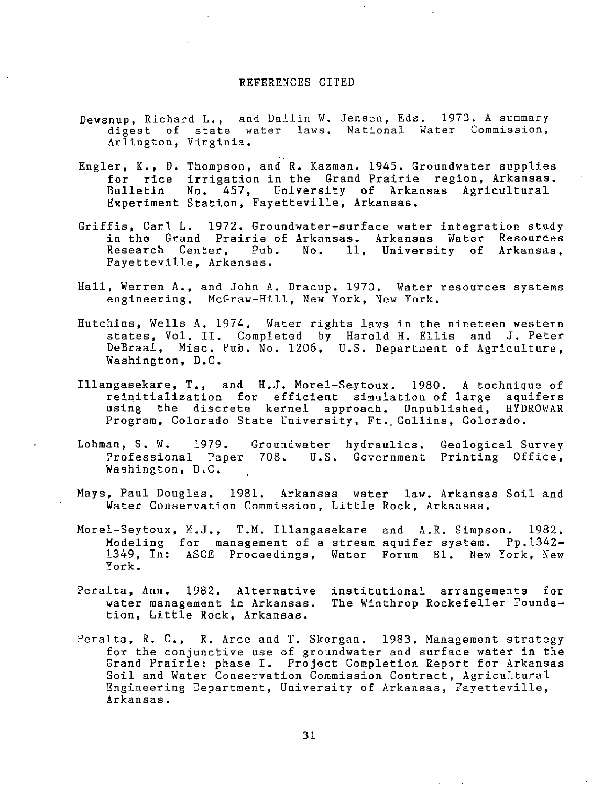#### REFERENCES CITED

- Dewsnup, Richard L., and Dallin W. Jensen, Eds. 1973. A summary digest of state water laws. National Water Commission, Arlington, Virginia.
- Engler, K., D. Thompson, and R. Kazman. 1945. Groundwater supplies for rice irrigation in the Grand Prairie region, Arkansas. Bulletin Experiment Station, Fayetteville, Arkansas. No. 457, University of Arkansas Agricultural
- Griffis, Carl L. 1972. Groundwater-surface water integration study in the Grand Prairie of Arkansas. Arkansas Water Resources<br>Research Center. Pub. No. 11, University of Arkansas. 11, University of Arkansas, Fayetteville, Arkansas.
- Hall, Warren A., and John A. Dracup. 1970. Water resources systems engineering. McGraw-Hill, New York, New York.
- Hutchins, Wells A. 1974. Water rights laws in the nineteen western states, Vol. II. Completed by Harold H. Ellis and J. Peter DeBraal, Misc. Pub. No. 1206, U.S. Department of Agriculture, Washington, D.C.
- Illangasekare, T., and H.J. Morel-Saytoux. 1980. A technique of reinitialization for efficient simulation of large aquifers using the discrete kernel approach. Unpublished, HYDROWAR Program, Colorado State University, Ft. Collins, Colorado.
- Lohman, S. W. 1979. Groundwater hydraulics. Professional Paper 708. U.S. Government Printing Office, Geological Survey Washington, D.C.
- Mays, Paul Douglas. 1981. Arkansas water law. Arkansas Soil and Water Conservation Commission, Little Rock, Arkansas.
- Morel-Seytoux, M.J., T.M. Illangasekare and A.R. Simpson. 1982. Modeling for management of a stream aquifer system. Pp.1342- 1349, In: ASCE Proceedings, Water Forum 81. New York, New York.
- Peralta, Ann. 1982. Alternative water management in Arkansas. The Winthrop Rockefeller Foundation, Little Rock, Arkansas. institutional arrangements for
- Peralta, R. C., R. Arce and T. Skergan. 1983. Management strategy for the conjunctive use of groundwater and surface water in the Grand Prairie: phase I. Project Completion Report for Arkansas Soil and Water Conservation Commission Contract, Agricultural Engineering Department, University of Arkansas, Fayetteville, Arkansas.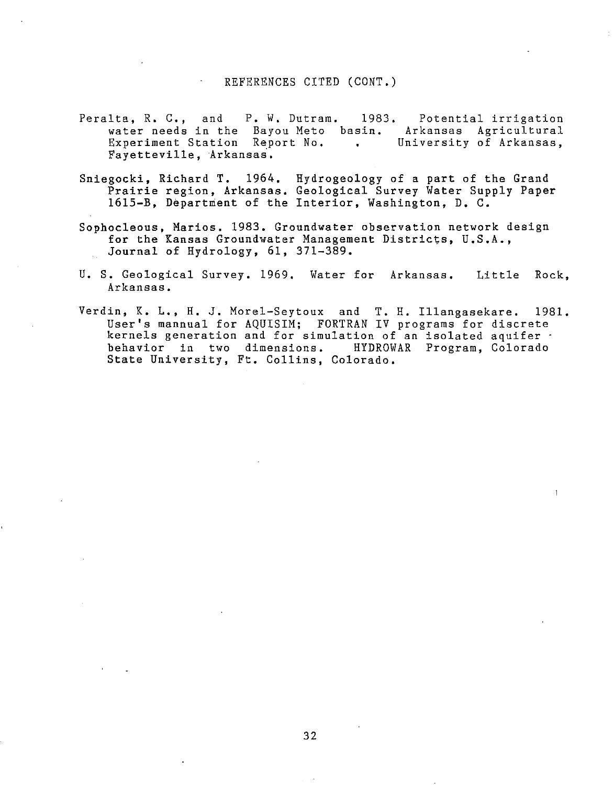#### REFERENCES CITED (CONT.)

- Peralta, R. C., and P. W. Dutram. 1983. Potential irrigation water needs in the Bayou Meto basin. Arkansas Agricultural Experiment Station Report No. University of Arkansas,  $\mathbf{L}$ Fayetteville, Arkansas.
- Sniegocki, Richard T. 1964. Hydrogeology of a part of the Grand Prairie region, Arkansas. Geological Survey Water Supply Paper 1615-B, Department of the Interior, Washington, D. C.
- Sophocleous, Marios. 1983. Groundwater observation network design for the Kansas Groundwater Management Districts, U.S.A., Journal of Hydrology, 61, 371-389.
- U. S. Geological Survey. 1969. Water for Arkansas. Little Rock, Arkansas.
- Verdin, K. L., H. J. Morel-Seytoux and T. H. Illangasekare. 1981. User's mannual for AQUISIM; FORTRAN IV programs for discrete kernels generation and for simulation of an isolated aquifer behavior in two dimensions. HYDROWAR Program, Colorado State University, Ft. Collins, Colorado.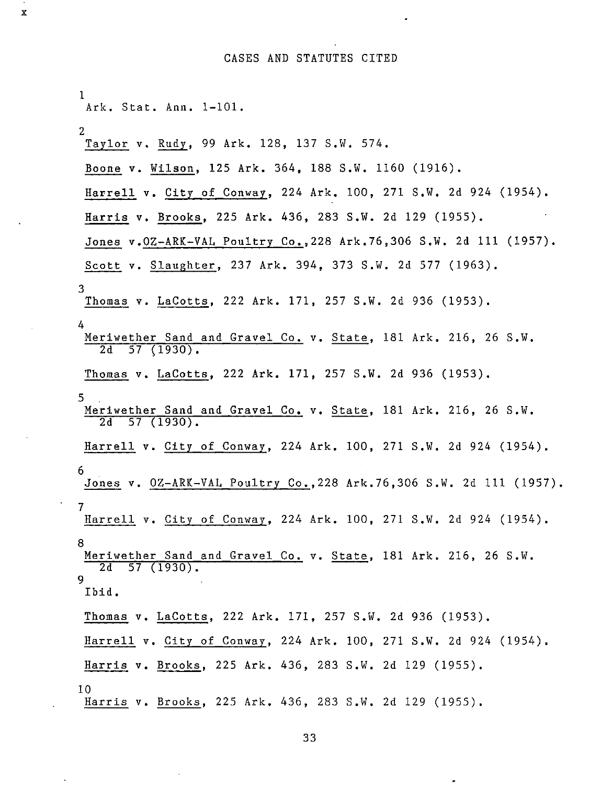# CASES AND STATUTES CITED

 $\sim$ 

 $\ddot{\phantom{a}}$ 

x

 $\bar{\mathcal{A}}$ 

 $\ddot{\phantom{a}}$ 

 $\ddot{\phantom{a}}$ 

| $\bf{1}$<br>Ark. Stat. Ann. 1-101.                                                           |
|----------------------------------------------------------------------------------------------|
| $\mathbf{2}$<br>Taylor v. Rudy, 99 Ark. 128, 137 S.W. 574.                                   |
| Boone v. Wilson, 125 Ark. 364, 188 S.W. 1160 (1916).                                         |
| Harrell v. City_of Conway, 224 Ark. 100, 271 S.W. 2d 924 (1954).                             |
| Harris v. Brooks, 225 Ark. 436, 283 S.W. 2d 129 (1955).                                      |
| Jones v.0Z-ARK-VAL Poultry Co., 228 Ark. 76, 306 S.W. 2d 111 (1957).                         |
| Scott v. Slaughter, 237 Ark. 394, 373 S.W. 2d 577 (1963).                                    |
| 3<br>Thomas v. LaCotts, 222 Ark. 171, 257 S.W. 2d 936 (1953).                                |
| 4<br>Meriwether Sand and Gravel Co. v. State, 181 Ark. 216, 26 S.W.<br>$2d$ 57 (1930).       |
| Thomas v. LaCotts, 222 Ark. 171, 257 S.W. 2d 936 (1953).                                     |
| 5.<br>Meriwether Sand and Gravel Co. v. State, 181 Ark. 216, 26 S.W.<br>$2d$ 57 (1930).      |
| Harrell v. City of Conway, 224 Ark. 100, 271 S.W. 2d 924 (1954).                             |
| -6<br>Jones v. 0Z-ARK-VAL Poultry Co., 228 Ark. 76, 306 S.W. 2d 111 (1957).                  |
| $\overline{7}$<br>Harrell v. City of Conway, 224 Ark. 100, 271 S.W. 2d 924 (1954).           |
| 8<br>Meriwether Sand and Gravel Co. v. State, 181 Ark. 216, 26 S.W.<br>$2d$ 57 (1930).<br>-9 |
| Ibid.                                                                                        |
| Thomas v. LaCotts, 222 Ark. 171, 257 S.W. 2d 936 (1953).                                     |
| Harrell v. City of Conway, 224 Ark. 100, 271 S.W. 2d 924 (1954).                             |
| Harris v. Brooks, 225 Ark. 436, 283 S.W. 2d 129 (1955).                                      |
| 10<br>Harris v. Brooks, 225 Ark. 436, 283 S.W. 2d 129 (1955).                                |

33

 $\bullet$ 

 $\bar{\mathcal{A}}$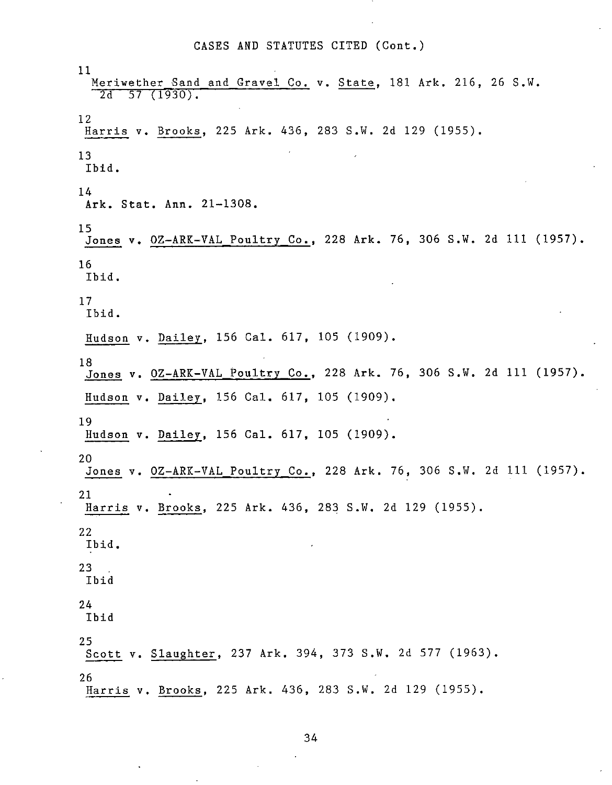#### CASES AND STATUTES CITED (Cont.)

11 Meriwether Sand and Gravel Co. v. State, 181 Ark. 216, 26 S.W. 2d 57 (1930). 12 Harris v. Brooks, 225 Ark. 436, 283 S.W. 2d 129 (1955). 13 Ibid. 14 Ark. Stat. Ann. 21-1308. 15 Jones v. OZ-ARK-VAL Poultry Co., 228 Ark. 76, 306 S.W. 2d III (1957). 16 Ibid. 17 Ibid. Hudson v. Dailey, 156 Cal. 617, 105 (1909). 18 Jones v. OZ-ARK-VAL Poultry Co., 228 Ark. 76, 306 S.W. 2d III (1957). Hudson v. Dailey, 156 Cal. 617, 105 (1909). 19 Hudson v. Dailey, 156 Cal. 617, 105 (1909). 20 Jones v. OZ-ARK-VAL Poultry Co., 228 Ark. 76, 306 S.W. 2d III (1957). 21 Harris v. Brooks, 225 Ark. 436, 283 S.W. 2d 129 (1955). 22 Ibid. 23 Ibid 24 Ibid 25 Scott v. Slaughter, 237 Ark. 394, 373 S.W. 2d 577 (1963). 26 Harris v. Brooks, 225 Ark. 436, 283 S.W. 2d 129 (1955).